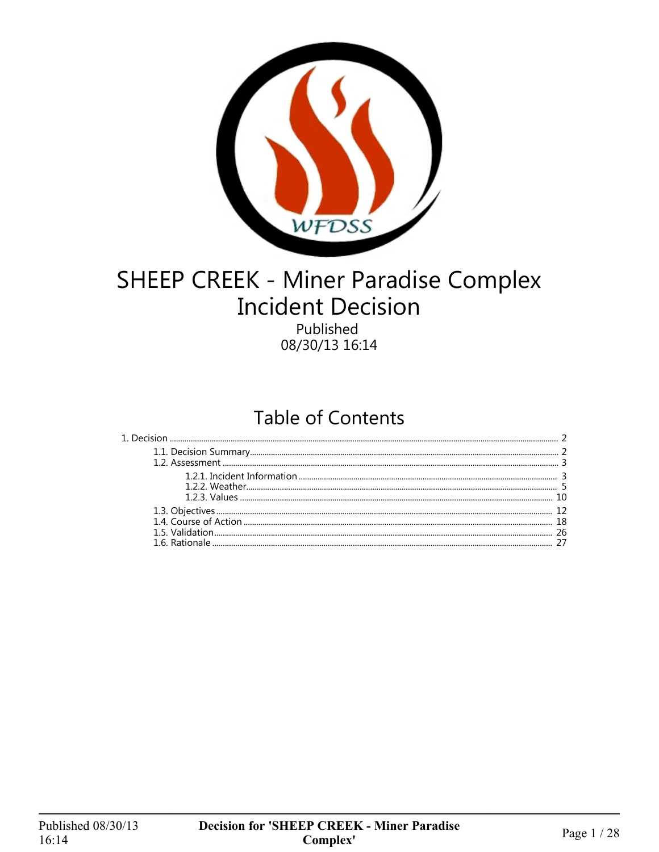

# SHEEP CREEK - Miner Paradise Complex **Incident Decision**

Published 08/30/13 16:14

## **Table of Contents**

| 18 |
|----|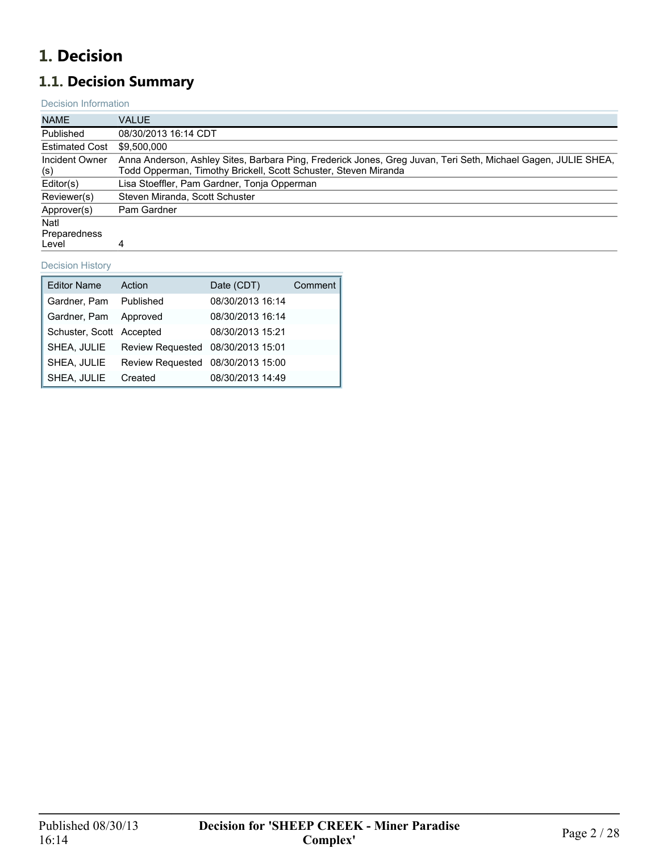## <span id="page-1-0"></span>**1. Decision**

## <span id="page-1-1"></span>**1.1. Decision Summary**

#### Decision Information

| <b>NAME</b>                   | <b>VALUE</b>                                                                                                                                                                     |
|-------------------------------|----------------------------------------------------------------------------------------------------------------------------------------------------------------------------------|
| Published                     | 08/30/2013 16:14 CDT                                                                                                                                                             |
| <b>Estimated Cost</b>         | \$9,500,000                                                                                                                                                                      |
| Incident Owner<br>(s)         | Anna Anderson, Ashley Sites, Barbara Ping, Frederick Jones, Greg Juvan, Teri Seth, Michael Gagen, JULIE SHEA,<br>Todd Opperman, Timothy Brickell, Scott Schuster, Steven Miranda |
| Editor(s)                     | Lisa Stoeffler, Pam Gardner, Tonja Opperman                                                                                                                                      |
| Reviewer(s)                   | Steven Miranda, Scott Schuster                                                                                                                                                   |
| Approver(s)                   | Pam Gardner                                                                                                                                                                      |
| Natl<br>Preparedness<br>Level | 4                                                                                                                                                                                |

#### Decision History

| <b>Editor Name</b>       | Action                            | Date (CDT)       | Comment |
|--------------------------|-----------------------------------|------------------|---------|
| Gardner, Pam Published   |                                   | 08/30/2013 16:14 |         |
| Gardner, Pam Approved    |                                   | 08/30/2013 16:14 |         |
| Schuster, Scott Accepted |                                   | 08/30/2013 15:21 |         |
| SHEA, JULIE              | Review Requested 08/30/2013 15:01 |                  |         |
| SHEA, JULIE              | Review Requested 08/30/2013 15:00 |                  |         |
| SHEA, JULIE              | Created                           | 08/30/2013 14:49 |         |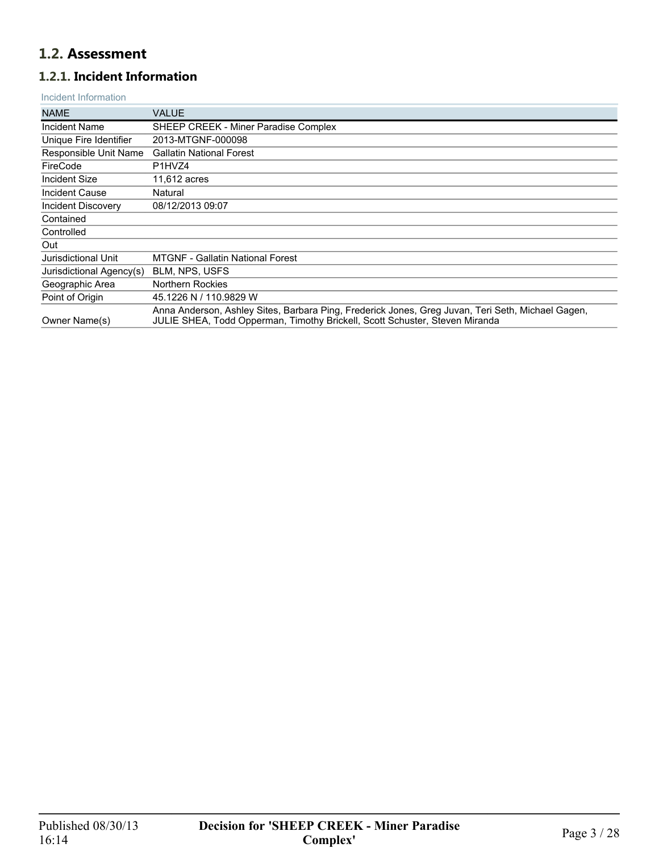## <span id="page-2-0"></span>**1.2. Assessment**

## <span id="page-2-1"></span>**1.2.1. Incident Information**

#### Incident Information

| <b>NAME</b>              | VALUE                                                                                                                                                                            |
|--------------------------|----------------------------------------------------------------------------------------------------------------------------------------------------------------------------------|
| <b>Incident Name</b>     | SHEEP CREEK - Miner Paradise Complex                                                                                                                                             |
| Unique Fire Identifier   | 2013-MTGNF-000098                                                                                                                                                                |
| Responsible Unit Name    | <b>Gallatin National Forest</b>                                                                                                                                                  |
| FireCode                 | P <sub>1</sub> H <sub>V</sub> Z <sub>4</sub>                                                                                                                                     |
| Incident Size            | 11,612 acres                                                                                                                                                                     |
| Incident Cause           | Natural                                                                                                                                                                          |
| Incident Discovery       | 08/12/2013 09:07                                                                                                                                                                 |
| Contained                |                                                                                                                                                                                  |
| Controlled               |                                                                                                                                                                                  |
| Out                      |                                                                                                                                                                                  |
| Jurisdictional Unit      | <b>MTGNF - Gallatin National Forest</b>                                                                                                                                          |
| Jurisdictional Agency(s) | BLM, NPS, USFS                                                                                                                                                                   |
| Geographic Area          | <b>Northern Rockies</b>                                                                                                                                                          |
| Point of Origin          | 45.1226 N / 110.9829 W                                                                                                                                                           |
| Owner Name(s)            | Anna Anderson, Ashley Sites, Barbara Ping, Frederick Jones, Greg Juvan, Teri Seth, Michael Gagen,<br>JULIE SHEA, Todd Opperman, Timothy Brickell, Scott Schuster, Steven Miranda |
|                          |                                                                                                                                                                                  |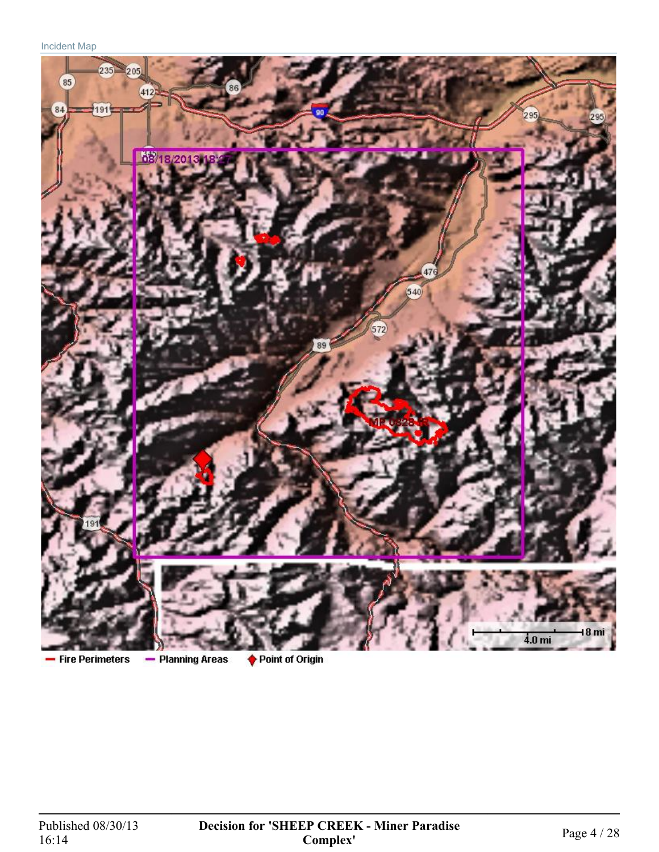

- Fire Perimeters

- Planning Areas

♦ Point of Origin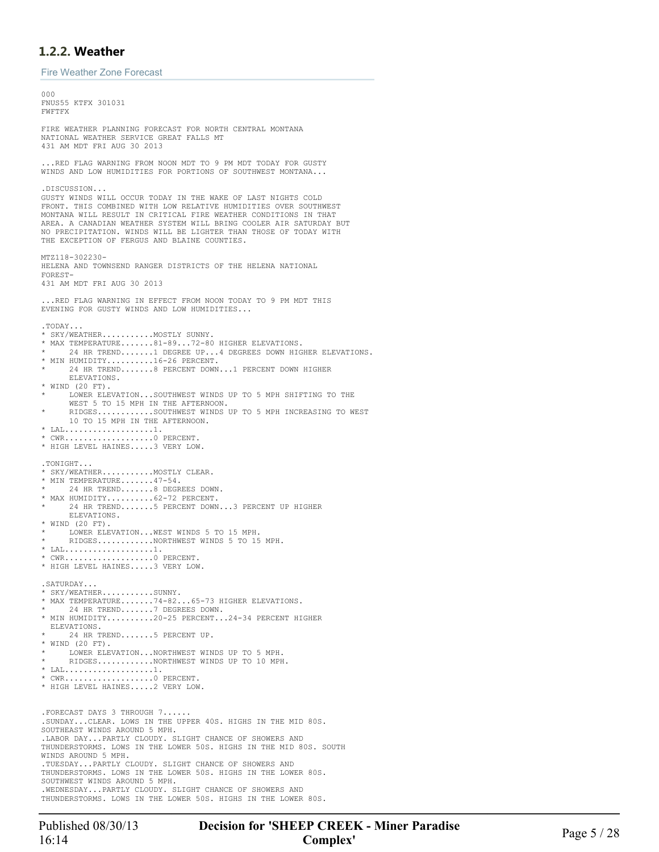## <span id="page-4-0"></span>**1.2.2. Weather**

Fire Weather Zone Forecast

000 FNUS55 KTFX 301031 FWFTFX FIRE WEATHER PLANNING FORECAST FOR NORTH CENTRAL MONTANA NATIONAL WEATHER SERVICE GREAT FALLS MT 431 AM MDT FRI AUG 30 2013 ...RED FLAG WARNING FROM NOON MDT TO 9 PM MDT TODAY FOR GUSTY WINDS AND LOW HUMIDITIES FOR PORTIONS OF SOUTHWEST MONTANA... .DISCUSSION... GUSTY WINDS WILL OCCUR TODAY IN THE WAKE OF LAST NIGHTS COLD FRONT. THIS COMBINED WITH LOW RELATIVE HUMIDITIES OVER SOUTHWEST MONTANA WILL RESULT IN CRITICAL FIRE WEATHER CONDITIONS IN THAT AREA. A CANADIAN WEATHER SYSTEM WILL BRING COOLER AIR SATURDAY BUT NO PRECIPITATION. WINDS WILL BE LIGHTER THAN THOSE OF TODAY WITH THE EXCEPTION OF FERGUS AND BLAINE COUNTIES. MTZ118-302230- HELENA AND TOWNSEND RANGER DISTRICTS OF THE HELENA NATIONAL FOREST-431 AM MDT FRI AUG 30 2013 .RED FLAG WARNING IN EFFECT FROM NOON TODAY TO 9 PM MDT THIS EVENING FOR GUSTY WINDS AND LOW HUMIDITIES... .TODAY... \* SKY/WEATHER...........MOSTLY SUNNY. \* MAX TEMPERATURE.......81-89...72-80 HIGHER ELEVATIONS. 24 HR TREND.......1 DEGREE UP...4 DEGREES DOWN HIGHER ELEVATIONS. \* MIN HUMIDITY..........16-26 PERCENT. 24 HR TREND.......8 PERCENT DOWN...1 PERCENT DOWN HIGHER ELEVATIONS. \* WIND (20 FT). \* LOWER ELEVATION...SOUTHWEST WINDS UP TO 5 MPH SHIFTING TO THE WEST 5 TO 15 MPH IN THE AFTERNOON. \* RIDGES............SOUTHWEST WINDS UP TO 5 MPH INCREASING TO WEST 10 TO 15 MPH IN THE AFTERNOON. \* LAL...................1. \* CWR...................0 PERCENT. \* HIGH LEVEL HAINES.....3 VERY LOW. .TONIGHT... SKY/WEATHER..........MOSTLY CLEAR. \* MIN TEMPERATURE.......47-54. 24 HR TREND.......8 DEGREES DOWN. MAX HUMIDITY..........62-72 PERCENT. 24 HR TREND.......5 PERCENT DOWN...3 PERCENT UP HIGHER ELEVATIONS. \* WIND (20 FT). LOWER ELEVATION... WEST WINDS 5 TO 15 MPH. RIDGES............NORTHWEST WINDS 5 TO 15 MPH.  $^\star$  LAL....................1. \* CWR...................0 PERCENT. \* HIGH LEVEL HAINES.....3 VERY LOW. . SATURDAY. \* SKY/WEATHER...........SUNNY. \* MAX TEMPERATURE.......74-82...65-73 HIGHER ELEVATIONS. 24 HR TREND.......7 DEGREES DOWN. \* MIN HUMIDITY..........20-25 PERCENT...24-34 PERCENT HIGHER ELEVATIONS. 24 HR TREND.......5 PERCENT UP. \* WIND (20 FT). LOWER ELEVATION...NORTHWEST WINDS UP TO 5 MPH. RIDGES............NORTHWEST WINDS UP TO 10 MPH. \* LAL...................1. \* CWR...................0 PERCENT. \* HIGH LEVEL HAINES.....2 VERY LOW. .FORECAST DAYS 3 THROUGH 7...... .SUNDAY...CLEAR. LOWS IN THE UPPER 40S. HIGHS IN THE MID 80S. SOUTHEAST WINDS AROUND 5 MPH. .LABOR DAY...PARTLY CLOUDY. SLIGHT CHANCE OF SHOWERS AND THUNDERSTORMS. LOWS IN THE LOWER 50S. HIGHS IN THE MID 80S. SOUTH WINDS AROUND 5 MPH. .TUESDAY...PARTLY CLOUDY. SLIGHT CHANCE OF SHOWERS AND THUNDERSTORMS. LOWS IN THE LOWER 50S. HIGHS IN THE LOWER 80S. SOUTHWEST WINDS AROUND 5 MPH. .WEDNESDAY...PARTLY CLOUDY. SLIGHT CHANCE OF SHOWERS AND THUNDERSTORMS. LOWS IN THE LOWER 50S. HIGHS IN THE LOWER 80S.

Published 08/30/13 **Decision for 'SHEEP CREEK - Miner Paradise**<br>16:14 **Page 5 / 28 Complex'**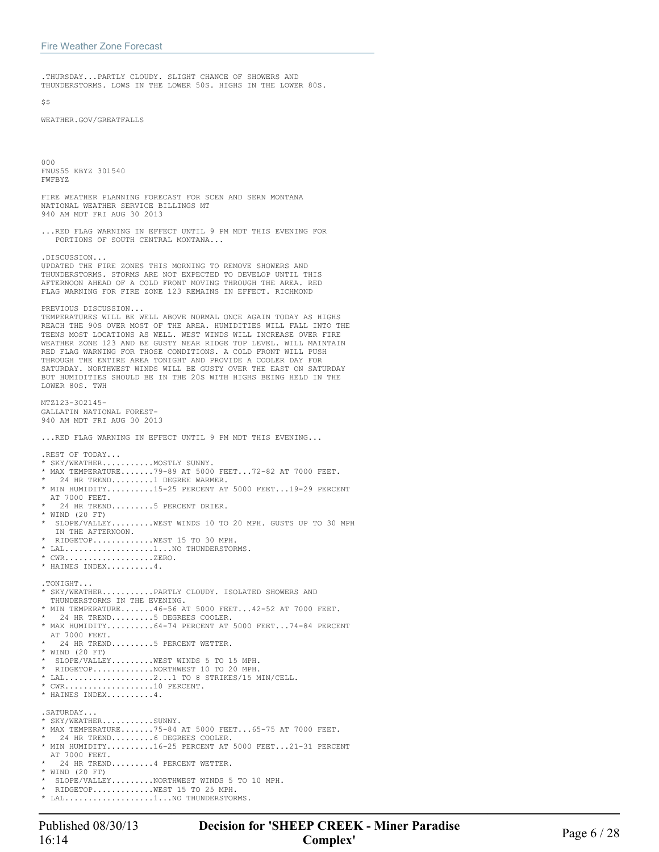.THURSDAY...PARTLY CLOUDY. SLIGHT CHANCE OF SHOWERS AND THUNDERSTORMS. LOWS IN THE LOWER 50S. HIGHS IN THE LOWER 80S.

 $$S$ 

WEATHER.GOV/GREATFALLS

000 FNUS55 KBYZ 301540 FWFBYZ

FIRE WEATHER PLANNING FORECAST FOR SCEN AND SERN MONTANA NATIONAL WEATHER SERVICE BILLINGS MT 940 AM MDT FRI AUG 30 2013

...RED FLAG WARNING IN EFFECT UNTIL 9 PM MDT THIS EVENING FOR PORTIONS OF SOUTH CENTRAL MONTANA...

.DISCUSSION... UPDATED THE FIRE ZONES THIS MORNING TO REMOVE SHOWERS AND THUNDERSTORMS. STORMS ARE NOT EXPECTED TO DEVELOP UNTIL THIS AFTERNOON AHEAD OF A COLD FRONT MOVING THROUGH THE AREA. RED FLAG WARNING FOR FIRE ZONE 123 REMAINS IN EFFECT. RICHMOND

PREVIOUS DISCUSSION...

TEMPERATURES WILL BE WELL ABOVE NORMAL ONCE AGAIN TODAY AS HIGHS REACH THE 90S OVER MOST OF THE AREA. HUMIDITIES WILL FALL INTO THE TEENS MOST LOCATIONS AS WELL. WEST WINDS WILL INCREASE OVER FIRE WEATHER ZONE 123 AND BE GUSTY NEAR RIDGE TOP LEVEL. WILL MAINTAIN RED FLAG WARNING FOR THOSE CONDITIONS. A COLD FRONT WILL PUSH THROUGH THE ENTIRE AREA TONIGHT AND PROVIDE A COOLER DAY FOR SATURDAY. NORTHWEST WINDS WILL BE GUSTY OVER THE EAST ON SATURDAY BUT HUMIDITIES SHOULD BE IN THE 20S WITH HIGHS BEING HELD IN THE LOWER 80S. TWH

MTZ123-302145- GALLATIN NATIONAL FOREST-940 AM MDT FRI AUG 30 2013

...RED FLAG WARNING IN EFFECT UNTIL 9 PM MDT THIS EVENING...

.REST OF TODAY... \* SKY/WEATHER...........MOSTLY SUNNY. \* MAX TEMPERATURE.......79-89 AT 5000 FEET...72-82 AT 7000 FEET. 24 HR TREND.........1 DEGREE WARMER. \* MIN HUMIDITY..........15-25 PERCENT AT 5000 FEET...19-29 PERCENT AT 7000 FEET. 24 HR TREND........5 PERCENT DRIER. \* WIND (20 FT) SLOPE/VALLEY.........WEST WINDS 10 TO 20 MPH. GUSTS UP TO 30 MPH IN THE AFTERNOON. RIDGETOP............. WEST 15 TO 30 MPH. \* LAL...................1...NO THUNDERSTORMS.  $\subset \texttt{WR}\dots\dots\dots\dots\dots\dots\dots\texttt{ZERO}$ . \* HAINES INDEX..........4. .TONIGHT... \* SKY/WEATHER...........PARTLY CLOUDY. ISOLATED SHOWERS AND THUNDERSTORMS IN THE EVENING. \* MIN TEMPERATURE.......46-56 AT 5000 FEET...42-52 AT 7000 FEET. 24 HR TREND.........5 DEGREES COOLER. \* MAX HUMIDITY..........64-74 PERCENT AT 5000 FEET...74-84 PERCENT AT 7000 FEET. 24 HR TREND.........5 PERCENT WETTER. \* WIND (20 FT) \* SLOPE/VALLEY.........WEST WINDS 5 TO 15 MPH. \* RIDGETOP.............NORTHWEST 10 TO 20 MPH. \* LAL...................2...1 TO 8 STRIKES/15 MIN/CELL. \* CWR...................10 PERCENT. \* HAINES INDEX..........4. .SATURDAY... \* SKY/WEATHER...........SUNNY. \* MAX TEMPERATURE.......75-84 AT 5000 FEET...65-75 AT 7000 FEET. 24 HR TREND.........6 DEGREES COOLER. \* MIN HUMIDITY..........16-25 PERCENT AT 5000 FEET...21-31 PERCENT AT 7000 FEET. 24 HR TREND.........4 PERCENT WETTER. \* WIND (20 FT) SLOPE/VALLEY........NORTHWEST WINDS 5 TO 10 MPH. RIDGETOP............. WEST 15 TO 25 MPH. \* LAL...................1...NO THUNDERSTORMS.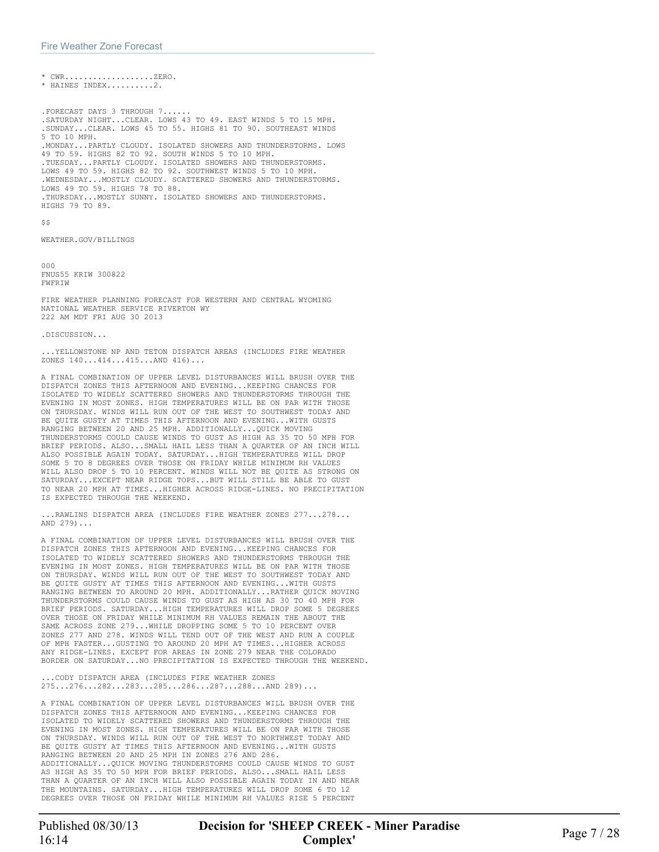\* CWR...................ZERO. \* HAINES INDEX..........2.

.FORECAST DAYS 3 THROUGH 7...... .SATURDAY NIGHT...CLEAR. LOWS 43 TO 49. EAST WINDS 5 TO 15 MPH. .SUNDAY...CLEAR. LOWS 45 TO 55. HIGHS 81 TO 90. SOUTHEAST WINDS 5 TO 10 MPH. .MONDAY...PARTLY CLOUDY. ISOLATED SHOWERS AND THUNDERSTORMS. LOWS 49 TO 59. HIGHS 82 TO 92. SOUTH WINDS 5 TO 10 MPH. .TUESDAY...PARTLY CLOUDY. ISOLATED SHOWERS AND THUNDERSTORMS. LOWS 49 TO 59. HIGHS 82 TO 92. SOUTHWEST WINDS 5 TO 10 MPH. .WEDNESDAY...MOSTLY CLOUDY. SCATTERED SHOWERS AND THUNDERSTORMS. LOWS 49 TO 59. HIGHS 78 TO 88. .THURSDAY...MOSTLY SUNNY. ISOLATED SHOWERS AND THUNDERSTORMS. HIGHS 79 TO 89.

 $$S$ 

WEATHER.GOV/BILLINGS

000 FNUS55 KRIW 300822 FWFRIW

FIRE WEATHER PLANNING FORECAST FOR WESTERN AND CENTRAL WYOMING NATIONAL WEATHER SERVICE RIVERTON WY 222 AM MDT FRI AUG 30 2013

.DISCUSSION...

.YELLOWSTONE NP AND TETON DISPATCH AREAS (INCLUDES FIRE WEATHER ZONES 140...414...415...AND 416)...

A FINAL COMBINATION OF UPPER LEVEL DISTURBANCES WILL BRUSH OVER THE DISPATCH ZONES THIS AFTERNOON AND EVENING...KEEPING CHANCES FOR ISOLATED TO WIDELY SCATTERED SHOWERS AND THUNDERSTORMS THROUGH THE EVENING IN MOST ZONES. HIGH TEMPERATURES WILL BE ON PAR WITH THOSE ON THURSDAY. WINDS WILL RUN OUT OF THE WEST TO SOUTHWEST TODAY AND BE QUITE GUSTY AT TIMES THIS AFTERNOON AND EVENING...WITH GUSTS RANGING BETWEEN 20 AND 25 MPH. ADDITIONALLY...QUICK MOVING THUNDERSTORMS COULD CAUSE WINDS TO GUST AS HIGH AS 35 TO 50 MPH FOR BRIEF PERIODS. ALSO...SMALL HAIL LESS THAN A QUARTER OF AN INCH WILL ALSO POSSIBLE AGAIN TODAY. SATURDAY...HIGH TEMPERATURES WILL DROP SOME 5 TO 8 DEGREES OVER THOSE ON FRIDAY WHILE MINIMUM RH VALUES WILL ALSO DROP 5 TO 10 PERCENT. WINDS WILL NOT BE QUITE AS STRONG ON SATURDAY...EXCEPT NEAR RIDGE TOPS...BUT WILL STILL BE ABLE TO GUST TO NEAR 20 MPH AT TIMES...HIGHER ACROSS RIDGE-LINES. NO PRECIPITATION IS EXPECTED THROUGH THE WEEKEND.

...RAWLINS DISPATCH AREA (INCLUDES FIRE WEATHER ZONES 277...278... AND 279)...

A FINAL COMBINATION OF UPPER LEVEL DISTURBANCES WILL BRUSH OVER THE DISPATCH ZONES THIS AFTERNOON AND EVENING...KEEPING CHANCES FOR ISOLATED TO WIDELY SCATTERED SHOWERS AND THUNDERSTORMS THROUGH THE EVENING IN MOST ZONES. HIGH TEMPERATURES WILL BE ON PAR WITH THOSE ON THURSDAY. WINDS WILL RUN OUT OF THE WEST TO SOUTHWEST TODAY AND BE QUITE GUSTY AT TIMES THIS AFTERNOON AND EVENING...WITH GUSTS RANGING BETWEEN TO AROUND 20 MPH. ADDITIONALLY...RATHER QUICK MOVING THUNDERSTORMS COULD CAUSE WINDS TO GUST AS HIGH AS 30 TO 40 MPH FOR BRIEF PERIODS. SATURDAY...HIGH TEMPERATURES WILL DROP SOME 5 DEGREES OVER THOSE ON FRIDAY WHILE MINIMUM RH VALUES REMAIN THE ABOUT THE SAME ACROSS ZONE 279...WHILE DROPPING SOME 5 TO 10 PERCENT OVER ZONES 277 AND 278. WINDS WILL TEND OUT OF THE WEST AND RUN A COUPLE OF MPH FASTER...GUSTING TO AROUND 20 MPH AT TIMES...HIGHER ACROSS ANY RIDGE-LINES. EXCEPT FOR AREAS IN ZONE 279 NEAR THE COLORADO BORDER ON SATURDAY...NO PRECIPITATION IS EXPECTED THROUGH THE WEEKEND.

...CODY DISPATCH AREA (INCLUDES FIRE WEATHER ZONES 275...276...282...283...285...286...287...288...AND 289)...

A FINAL COMBINATION OF UPPER LEVEL DISTURBANCES WILL BRUSH OVER THE DISPATCH ZONES THIS AFTERNOON AND EVENING...KEEPING CHANCES FOR ISOLATED TO WIDELY SCATTERED SHOWERS AND THUNDERSTORMS THROUGH THE EVENING IN MOST ZONES. HIGH TEMPERATURES WILL BE ON PAR WITH THOSE ON THURSDAY. WINDS WILL RUN OUT OF THE WEST TO NORTHWEST TODAY AND BE QUITE GUSTY AT TIMES THIS AFTERNOON AND EVENING...WITH GUSTS RANGING BETWEEN 20 AND 25 MPH IN ZONES 276 AND 286. ADDITIONALLY...QUICK MOVING THUNDERSTORMS COULD CAUSE WINDS TO GUST AS HIGH AS 35 TO 50 MPH FOR BRIEF PERIODS. ALSO...SMALL HAIL LESS THAN A QUARTER OF AN INCH WILL ALSO POSSIBLE AGAIN TODAY IN AND NEAR THE MOUNTAINS. SATURDAY...HIGH TEMPERATURES WILL DROP SOME 6 TO 12 DEGREES OVER THOSE ON FRIDAY WHILE MINIMUM RH VALUES RISE 5 PERCENT

Published 08/30/13 **Decision for 'SHEEP CREEK - Miner Paradise**<br>16:14 **Page 7 / 28 Complex'**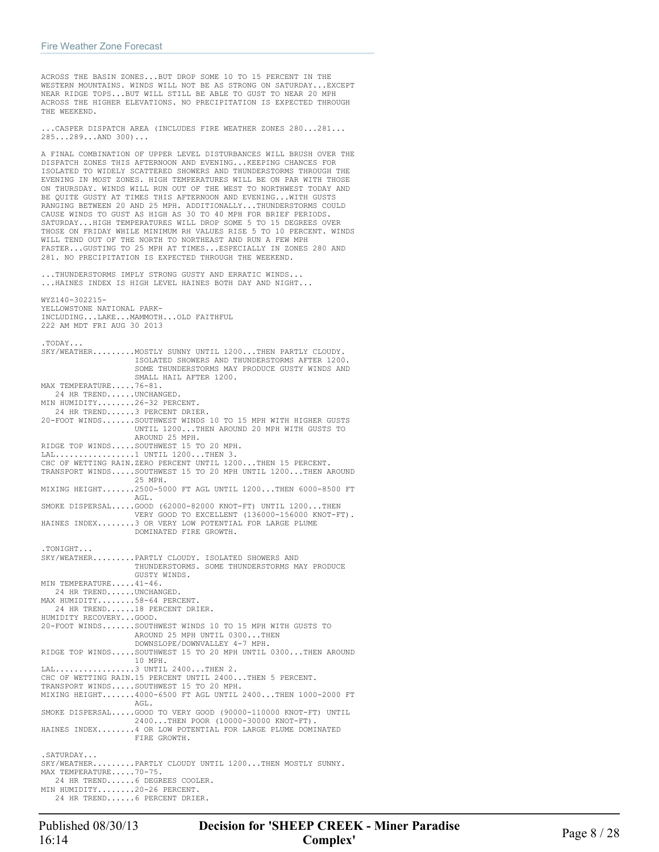WYZ140-302215-

ACROSS THE BASIN ZONES...BUT DROP SOME 10 TO 15 PERCENT IN THE WESTERN MOUNTAINS. WINDS WILL NOT BE AS STRONG ON SATURDAY...EXCEPT NEAR RIDGE TOPS...BUT WILL STILL BE ABLE TO GUST TO NEAR 20 MPH ACROSS THE HIGHER ELEVATIONS. NO PRECIPITATION IS EXPECTED THROUGH THE WEEKEND.

...CASPER DISPATCH AREA (INCLUDES FIRE WEATHER ZONES 280...281... 285...289...AND 300)...

A FINAL COMBINATION OF UPPER LEVEL DISTURBANCES WILL BRUSH OVER THE DISPATCH ZONES THIS AFTERNOON AND EVENING...KEEPING CHANCES FOR ISOLATED TO WIDELY SCATTERED SHOWERS AND THUNDERSTORMS THROUGH THE EVENING IN MOST ZONES. HIGH TEMPERATURES WILL BE ON PAR WITH THOSE ON THURSDAY. WINDS WILL RUN OUT OF THE WEST TO NORTHWEST TODAY AND BE QUITE GUSTY AT TIMES THIS AFTERNOON AND EVENING...WITH GUSTS RANGING BETWEEN 20 AND 25 MPH. ADDITIONALLY...THUNDERSTORMS COULD CAUSE WINDS TO GUST AS HIGH AS 30 TO 40 MPH FOR BRIEF PERIODS. SATURDAY...HIGH TEMPERATURES WILL DROP SOME 5 TO 15 DEGREES OVER THOSE ON FRIDAY WHILE MINIMUM RH VALUES RISE 5 TO 10 PERCENT. WINDS WILL TEND OUT OF THE NORTH TO NORTHEAST AND RUN A FEW MPH FASTER...GUSTING TO 25 MPH AT TIMES...ESPECIALLY IN ZONES 280 AND 281. NO PRECIPITATION IS EXPECTED THROUGH THE WEEKEND.

...THUNDERSTORMS IMPLY STRONG GUSTY AND ERRATIC WINDS... ...HAINES INDEX IS HIGH LEVEL HAINES BOTH DAY AND NIGHT...

YELLOWSTONE NATIONAL PARK-INCLUDING...LAKE...MAMMOTH...OLD FAITHFUL 222 AM MDT FRI AUG 30 2013 .TODAY... SKY/WEATHER.........MOSTLY SUNNY UNTIL 1200...THEN PARTLY CLOUDY. ISOLATED SHOWERS AND THUNDERSTORMS AFTER 1200. SOME THUNDERSTORMS MAY PRODUCE GUSTY WINDS AND SMALL HAIL AFTER 1200. MAX TEMPERATURE.....76-81. 24 HR TREND......UNCHANGED. MIN HUMIDITY........26-32 PERCENT. 24 HR TREND......3 PERCENT DRIER. 20-FOOT WINDS.......SOUTHWEST WINDS 10 TO 15 MPH WITH HIGHER GUSTS UNTIL 1200...THEN AROUND 20 MPH WITH GUSTS TO AROUND 25 MPH. RIDGE TOP WINDS.....SOUTHWEST 15 TO 20 MPH. LAL.................1 UNTIL 1200...THEN 3. CHC OF WETTING RAIN.ZERO PERCENT UNTIL 1200...THEN 15 PERCENT. TRANSPORT WINDS.....SOUTHWEST 15 TO 20 MPH UNTIL 1200...THEN AROUND 25 MPH. MIXING HEIGHT.......2500-5000 FT AGL UNTIL 1200...THEN 6000-8500 FT AGL. SMOKE DISPERSAL.....GOOD (62000-82000 KNOT-FT) UNTIL 1200...THEN VERY GOOD TO EXCELLENT (136000-156000 KNOT-FT). HAINES INDEX........3 OR VERY LOW POTENTIAL FOR LARGE PLUME DOMINATED FIRE GROWTH. .TONIGHT... SKY/WEATHER.........PARTLY CLOUDY. ISOLATED SHOWERS AND THUNDERSTORMS. SOME THUNDERSTORMS MAY PRODUCE GUSTY WINDS. MIN TEMPERATURE.....41-46. 24 HR TREND......UNCHANGED. MAX HUMIDITY........58-64 PERCENT. 24 HR TREND......18 PERCENT DRIER. HUMIDITY RECOVERY...GOOD. 20-FOOT WINDS.......SOUTHWEST WINDS 10 TO 15 MPH WITH GUSTS TO AROUND 25 MPH UNTIL 0300...THEN DOWNSLOPE/DOWNVALLEY 4-7 MPH. RIDGE TOP WINDS.....SOUTHWEST 15 TO 20 MPH UNTIL 0300...THEN AROUND 10 MPH. LAL.................3 UNTIL 2400...THEN 2. CHC OF WETTING RAIN.15 PERCENT UNTIL 2400...THEN 5 PERCENT. TRANSPORT WINDS.....SOUTHWEST 15 TO 20 MPH. MIXING HEIGHT.......4000-6500 FT AGL UNTIL 2400...THEN 1000-2000 FT AGL. SMOKE DISPERSAL.....GOOD TO VERY GOOD (90000-110000 KNOT-FT) UNTIL 2400...THEN POOR (10000-30000 KNOT-FT). HAINES INDEX........4 OR LOW POTENTIAL FOR LARGE PLUME DOMINATED FIRE GROWTH. .SATURDAY... SKY/WEATHER.........PARTLY CLOUDY UNTIL 1200...THEN MOSTLY SUNNY. MAX TEMPERATURE.....70-75. 24 HR TREND......6 DEGREES COOLER. MIN HUMIDITY........20-26 PERCENT. 24 HR TREND......6 PERCENT DRIER.

Published 08/30/13 **Decision for 'SHEEP CREEK - Miner Paradise**<br>16:14 **Page 8 / 28 Complex'**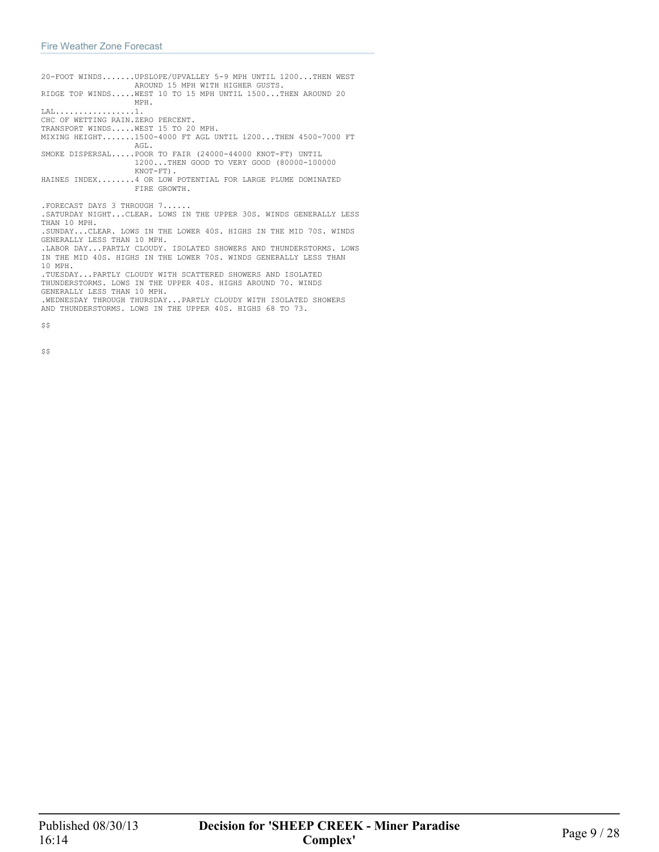| 20-FOOT WINDSUPSLOPE/UPVALLEY 5-9 MPH UNTIL 1200THEN WEST<br>AROUND 15 MPH WITH HIGHER GUSTS.                                                                       |
|---------------------------------------------------------------------------------------------------------------------------------------------------------------------|
| RIDGE TOP WINDSWEST 10 TO 15 MPH UNTIL 1500THEN AROUND 20<br>MPH.                                                                                                   |
|                                                                                                                                                                     |
| CHC OF WETTING RAIN.ZERO PERCENT.                                                                                                                                   |
| TRANSPORT WINDSWEST 15 TO 20 MPH.                                                                                                                                   |
| MIXING HEIGHT1500-4000 FT AGL UNTIL 1200THEN 4500-7000 FT<br>AGL.                                                                                                   |
| SMOKE DISPERSALPOOR TO FAIR (24000-44000 KNOT-FT) UNTIL<br>1200THEN GOOD TO VERY GOOD (80000-100000<br>$KNOT-FT)$ .                                                 |
| HAINES INDEX4 OR LOW POTENTIAL FOR LARGE PLUME DOMINATED<br>FIRE GROWTH.                                                                                            |
|                                                                                                                                                                     |
| . FORECAST DAYS 3 THROUGH 7                                                                                                                                         |
| .SATURDAY NIGHTCLEAR. LOWS IN THE UPPER 30S. WINDS GENERALLY LESS<br>THAN 10 MPH.                                                                                   |
| . SUNDAY CLEAR. LOWS IN THE LOWER 40S. HIGHS IN THE MID 70S. WINDS<br>GENERALLY LESS THAN 10 MPH.                                                                   |
| .IABOR DAYPARTIY CLOUDY, ISOLATED SHOWERS AND THUNDERSTORMS, LOWS                                                                                                   |
| IN THE MID 40S. HIGHS IN THE LOWER 70S. WINDS GENERALLY LESS THAN                                                                                                   |
| 10 MPH.<br>.TUESDAYPARTLY CLOUDY WITH SCATTERED SHOWERS AND ISOLATED<br>THUNDERSTORMS. LOWS IN THE UPPER 40S. HIGHS AROUND 70. WINDS<br>GENERALLY LESS THAN 10 MPH. |

 $$S$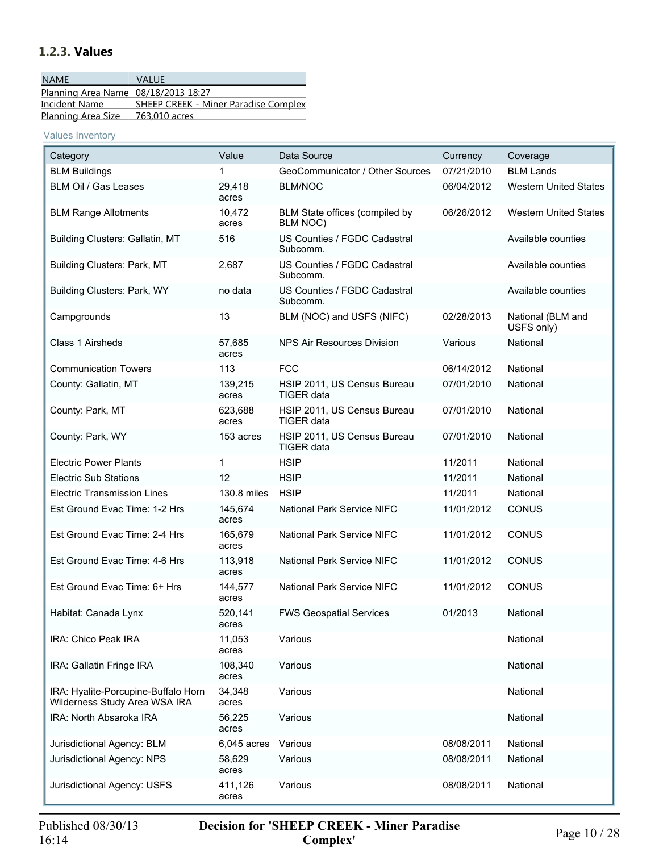## <span id="page-9-0"></span>**1.2.3. Values**

| <b>NAME</b>                         | VALUE                                       |
|-------------------------------------|---------------------------------------------|
| Planning Area Name 08/18/2013 18:27 |                                             |
| Incident Name                       | <b>SHEEP CREEK - Miner Paradise Complex</b> |
| <b>Planning Area Size</b>           | 763,010 acres                               |

Values Inventory

| Category                                                             | Value            | Data Source                                | Currency   | Coverage                        |
|----------------------------------------------------------------------|------------------|--------------------------------------------|------------|---------------------------------|
| <b>BLM Buildings</b>                                                 |                  | GeoCommunicator / Other Sources            | 07/21/2010 | <b>BLM Lands</b>                |
| BLM Oil / Gas Leases                                                 | 29,418<br>acres  | <b>BLM/NOC</b>                             | 06/04/2012 | <b>Western United States</b>    |
| <b>BLM Range Allotments</b>                                          | 10.472<br>acres  | BLM State offices (compiled by<br>BLM NOC) | 06/26/2012 | <b>Western United States</b>    |
| Building Clusters: Gallatin, MT                                      | 516              | US Counties / FGDC Cadastral<br>Subcomm.   |            | Available counties              |
| Building Clusters: Park, MT                                          | 2,687            | US Counties / FGDC Cadastral<br>Subcomm.   |            | Available counties              |
| Building Clusters: Park, WY                                          | no data          | US Counties / FGDC Cadastral<br>Subcomm.   |            | Available counties              |
| Campgrounds                                                          | 13               | BLM (NOC) and USFS (NIFC)                  | 02/28/2013 | National (BLM and<br>USFS only) |
| Class 1 Airsheds                                                     | 57,685<br>acres  | NPS Air Resources Division                 | Various    | National                        |
| <b>Communication Towers</b>                                          | 113              | <b>FCC</b>                                 | 06/14/2012 | National                        |
| County: Gallatin, MT                                                 | 139,215<br>acres | HSIP 2011, US Census Bureau<br>TIGER data  | 07/01/2010 | National                        |
| County: Park, MT                                                     | 623,688<br>acres | HSIP 2011, US Census Bureau<br>TIGER data  | 07/01/2010 | National                        |
| County: Park, WY                                                     | 153 acres        | HSIP 2011, US Census Bureau<br>TIGER data  | 07/01/2010 | National                        |
| <b>Electric Power Plants</b>                                         | $\mathbf{1}$     | <b>HSIP</b>                                | 11/2011    | National                        |
| <b>Electric Sub Stations</b>                                         | 12               | <b>HSIP</b>                                | 11/2011    | National                        |
| <b>Electric Transmission Lines</b>                                   | 130.8 miles      | <b>HSIP</b>                                | 11/2011    | National                        |
| Est Ground Evac Time: 1-2 Hrs                                        | 145,674<br>acres | National Park Service NIFC                 | 11/01/2012 | <b>CONUS</b>                    |
| Est Ground Evac Time: 2-4 Hrs                                        | 165,679<br>acres | National Park Service NIFC                 | 11/01/2012 | <b>CONUS</b>                    |
| Est Ground Evac Time: 4-6 Hrs                                        | 113,918<br>acres | National Park Service NIFC                 | 11/01/2012 | <b>CONUS</b>                    |
| Est Ground Evac Time: 6+ Hrs                                         | 144,577<br>acres | National Park Service NIFC                 | 11/01/2012 | <b>CONUS</b>                    |
| Habitat: Canada Lynx                                                 | 520,141<br>acres | <b>FWS Geospatial Services</b>             | 01/2013    | National                        |
| IRA: Chico Peak IRA                                                  | 11,053<br>acres  | Various                                    |            | National                        |
| IRA: Gallatin Fringe IRA                                             | 108,340<br>acres | Various                                    |            | National                        |
| IRA: Hyalite-Porcupine-Buffalo Horn<br>Wilderness Study Area WSA IRA | 34,348<br>acres  | Various                                    |            | National                        |
| IRA: North Absaroka IRA                                              | 56,225<br>acres  | Various                                    |            | National                        |
| Jurisdictional Agency: BLM                                           | 6,045 acres      | Various                                    | 08/08/2011 | National                        |
| Jurisdictional Agency: NPS                                           | 58,629<br>acres  | Various                                    | 08/08/2011 | National                        |
| Jurisdictional Agency: USFS                                          | 411,126<br>acres | Various                                    | 08/08/2011 | National                        |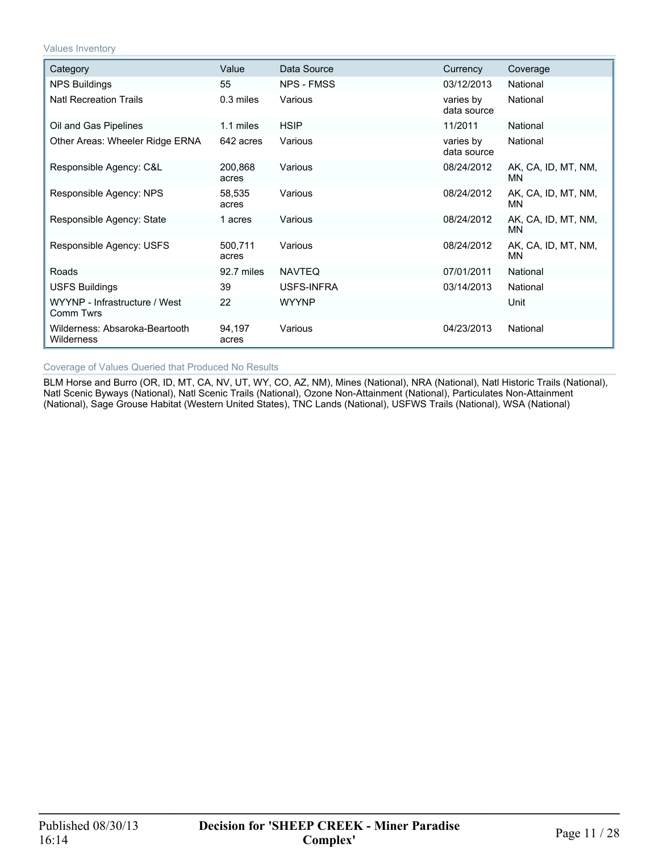Values Inventory

| Category                                     | Value            | Data Source       | Currency                 | Coverage                         |
|----------------------------------------------|------------------|-------------------|--------------------------|----------------------------------|
| NPS Buildings                                | 55               | <b>NPS - FMSS</b> | 03/12/2013               | National                         |
| <b>Natl Recreation Trails</b>                | 0.3 miles        | Various           | varies by<br>data source | National                         |
| Oil and Gas Pipelines                        | 1.1 miles        | <b>HSIP</b>       | 11/2011                  | National                         |
| Other Areas: Wheeler Ridge ERNA              | 642 acres        | Various           | varies by<br>data source | National                         |
| Responsible Agency: C&L                      | 200,868<br>acres | Various           | 08/24/2012               | AK, CA, ID, MT, NM,<br>MN.       |
| Responsible Agency: NPS                      | 58,535<br>acres  | Various           | 08/24/2012               | AK, CA, ID, MT, NM,<br>MN.       |
| Responsible Agency: State                    | 1 acres          | Various           | 08/24/2012               | AK, CA, ID, MT, NM,<br><b>MN</b> |
| Responsible Agency: USFS                     | 500,711<br>acres | Various           | 08/24/2012               | AK, CA, ID, MT, NM,<br>MN.       |
| Roads                                        | 92.7 miles       | <b>NAVTEQ</b>     | 07/01/2011               | National                         |
| <b>USFS Buildings</b>                        | 39               | USFS-INFRA        | 03/14/2013               | National                         |
| WYYNP - Infrastructure / West<br>Comm Twrs   | 22               | <b>WYYNP</b>      |                          | Unit                             |
| Wilderness: Absaroka-Beartooth<br>Wilderness | 94,197<br>acres  | Various           | 04/23/2013               | National                         |

#### Coverage of Values Queried that Produced No Results

BLM Horse and Burro (OR, ID, MT, CA, NV, UT, WY, CO, AZ, NM), Mines (National), NRA (National), Natl Historic Trails (National), Natl Scenic Byways (National), Natl Scenic Trails (National), Ozone Non-Attainment (National), Particulates Non-Attainment (National), Sage Grouse Habitat (Western United States), TNC Lands (National), USFWS Trails (National), WSA (National)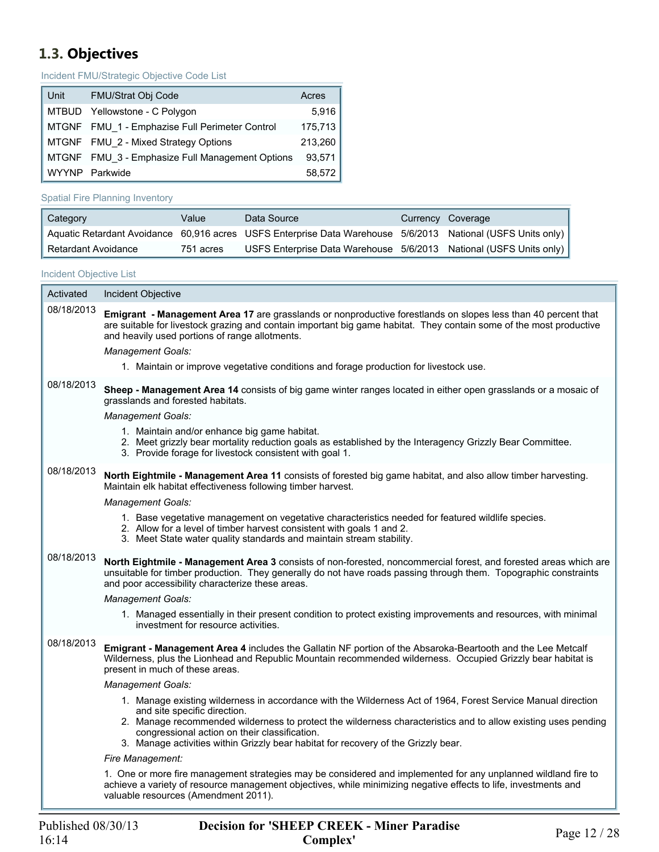## <span id="page-11-0"></span>**1.3. Objectives**

Incident FMU/Strategic Objective Code List

| Unit         | FMU/Strat Obj Code                              | Acres   |
|--------------|-------------------------------------------------|---------|
| I MTBUD I    | Yellowstone - C Polygon                         | 5,916   |
|              | MTGNF FMU 1 - Emphazise Full Perimeter Control  | 175,713 |
|              | MTGNF FMU 2 - Mixed Strategy Options            | 213,260 |
|              | MTGNF FMU 3 - Emphasize Full Management Options | 93.571  |
| <b>WYYNP</b> | Parkwide                                        | 58,572  |

#### Spatial Fire Planning Inventory

| Category                         | Value     | Data Source                                                                                                 | Currency Coverage |
|----------------------------------|-----------|-------------------------------------------------------------------------------------------------------------|-------------------|
|                                  |           | Aquatic Retardant Avoidance 60,916 acres USFS Enterprise Data Warehouse 5/6/2013 National (USFS Units only) |                   |
| <sup>1</sup> Retardant Avoidance | 751 acres | USFS Enterprise Data Warehouse 5/6/2013 National (USFS Units only)                                          |                   |

#### Incident Objective List

Г

| Activated  | Incident Objective                                                                                                                                                                                                                                                                                                                                                                                   |
|------------|------------------------------------------------------------------------------------------------------------------------------------------------------------------------------------------------------------------------------------------------------------------------------------------------------------------------------------------------------------------------------------------------------|
| 08/18/2013 | Emigrant - Management Area 17 are grasslands or nonproductive forestlands on slopes less than 40 percent that<br>are suitable for livestock grazing and contain important big game habitat. They contain some of the most productive<br>and heavily used portions of range allotments.                                                                                                               |
|            | <b>Management Goals:</b>                                                                                                                                                                                                                                                                                                                                                                             |
|            | 1. Maintain or improve vegetative conditions and forage production for livestock use.                                                                                                                                                                                                                                                                                                                |
| 08/18/2013 | Sheep - Management Area 14 consists of big game winter ranges located in either open grasslands or a mosaic of<br>grasslands and forested habitats.                                                                                                                                                                                                                                                  |
|            | <b>Management Goals:</b>                                                                                                                                                                                                                                                                                                                                                                             |
|            | 1. Maintain and/or enhance big game habitat.<br>2. Meet grizzly bear mortality reduction goals as established by the Interagency Grizzly Bear Committee.<br>3. Provide forage for livestock consistent with goal 1.                                                                                                                                                                                  |
| 08/18/2013 | North Eightmile - Management Area 11 consists of forested big game habitat, and also allow timber harvesting.<br>Maintain elk habitat effectiveness following timber harvest.                                                                                                                                                                                                                        |
|            | <b>Management Goals:</b>                                                                                                                                                                                                                                                                                                                                                                             |
|            | 1. Base vegetative management on vegetative characteristics needed for featured wildlife species.<br>2. Allow for a level of timber harvest consistent with goals 1 and 2.<br>3. Meet State water quality standards and maintain stream stability.                                                                                                                                                   |
| 08/18/2013 | North Eightmile - Management Area 3 consists of non-forested, noncommercial forest, and forested areas which are<br>unsuitable for timber production. They generally do not have roads passing through them. Topographic constraints<br>and poor accessibility characterize these areas.                                                                                                             |
|            | <b>Management Goals:</b>                                                                                                                                                                                                                                                                                                                                                                             |
|            | 1. Managed essentially in their present condition to protect existing improvements and resources, with minimal<br>investment for resource activities.                                                                                                                                                                                                                                                |
| 08/18/2013 | Emigrant - Management Area 4 includes the Gallatin NF portion of the Absaroka-Beartooth and the Lee Metcalf<br>Wilderness, plus the Lionhead and Republic Mountain recommended wilderness. Occupied Grizzly bear habitat is<br>present in much of these areas.                                                                                                                                       |
|            | Management Goals:                                                                                                                                                                                                                                                                                                                                                                                    |
|            | 1. Manage existing wilderness in accordance with the Wilderness Act of 1964, Forest Service Manual direction<br>and site specific direction.<br>2. Manage recommended wilderness to protect the wilderness characteristics and to allow existing uses pending<br>congressional action on their classification.<br>3. Manage activities within Grizzly bear habitat for recovery of the Grizzly bear. |
|            | Fire Management:                                                                                                                                                                                                                                                                                                                                                                                     |
|            | 1. One or more fire management strategies may be considered and implemented for any unplanned wildland fire to<br>achieve a variety of resource management objectives, while minimizing negative effects to life, investments and<br>valuable resources (Amendment 2011).                                                                                                                            |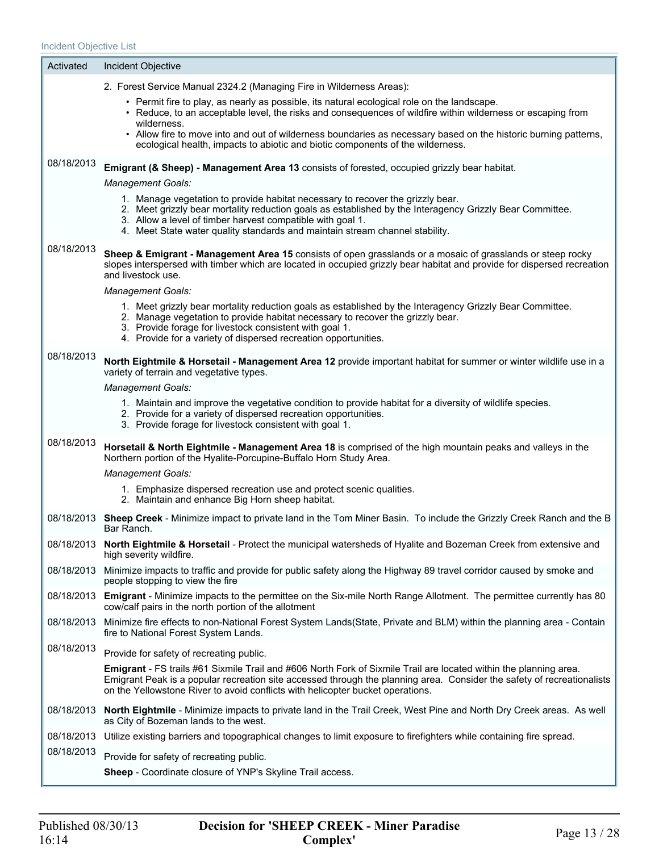$\sim$ 

| Activated  | Incident Objective                                                                                                                                                                                                                                                                                                                       |
|------------|------------------------------------------------------------------------------------------------------------------------------------------------------------------------------------------------------------------------------------------------------------------------------------------------------------------------------------------|
|            | 2. Forest Service Manual 2324.2 (Managing Fire in Wilderness Areas):                                                                                                                                                                                                                                                                     |
|            | • Permit fire to play, as nearly as possible, its natural ecological role on the landscape.<br>• Reduce, to an acceptable level, the risks and consequences of wildfire within wilderness or escaping from<br>wilderness.                                                                                                                |
|            | • Allow fire to move into and out of wilderness boundaries as necessary based on the historic burning patterns,<br>ecological health, impacts to abiotic and biotic components of the wilderness.                                                                                                                                        |
| 08/18/2013 | Emigrant (& Sheep) - Management Area 13 consists of forested, occupied grizzly bear habitat.                                                                                                                                                                                                                                             |
|            | <b>Management Goals:</b>                                                                                                                                                                                                                                                                                                                 |
|            | 1. Manage vegetation to provide habitat necessary to recover the grizzly bear.<br>2. Meet grizzly bear mortality reduction goals as established by the Interagency Grizzly Bear Committee.<br>3. Allow a level of timber harvest compatible with goal 1.<br>4. Meet State water quality standards and maintain stream channel stability. |
| 08/18/2013 | Sheep & Emigrant - Management Area 15 consists of open grasslands or a mosaic of grasslands or steep rocky<br>slopes interspersed with timber which are located in occupied grizzly bear habitat and provide for dispersed recreation<br>and livestock use.                                                                              |
|            | <b>Management Goals:</b>                                                                                                                                                                                                                                                                                                                 |
|            | 1. Meet grizzly bear mortality reduction goals as established by the Interagency Grizzly Bear Committee.<br>2. Manage vegetation to provide habitat necessary to recover the grizzly bear.<br>3. Provide forage for livestock consistent with goal 1.<br>4. Provide for a variety of dispersed recreation opportunities.                 |
| 08/18/2013 | North Eightmile & Horsetail - Management Area 12 provide important habitat for summer or winter wildlife use in a<br>variety of terrain and vegetative types.                                                                                                                                                                            |
|            | <b>Management Goals:</b>                                                                                                                                                                                                                                                                                                                 |
|            | 1. Maintain and improve the vegetative condition to provide habitat for a diversity of wildlife species.<br>2. Provide for a variety of dispersed recreation opportunities.<br>3. Provide forage for livestock consistent with goal 1.                                                                                                   |
| 08/18/2013 | Horsetail & North Eightmile - Management Area 18 is comprised of the high mountain peaks and valleys in the<br>Northern portion of the Hyalite-Porcupine-Buffalo Horn Study Area.                                                                                                                                                        |
|            | <b>Management Goals:</b>                                                                                                                                                                                                                                                                                                                 |
|            | 1. Emphasize dispersed recreation use and protect scenic qualities.<br>2. Maintain and enhance Big Horn sheep habitat.                                                                                                                                                                                                                   |
|            | 08/18/2013 Sheep Creek - Minimize impact to private land in the Tom Miner Basin. To include the Grizzly Creek Ranch and the B<br>Bar Ranch.                                                                                                                                                                                              |
|            | 08/18/2013 North Eightmile & Horsetail - Protect the municipal watersheds of Hyalite and Bozeman Creek from extensive and<br>high severity wildfire.                                                                                                                                                                                     |
|            | 08/18/2013 Minimize impacts to traffic and provide for public safety along the Highway 89 travel corridor caused by smoke and<br>people stopping to view the fire                                                                                                                                                                        |
|            | 08/18/2013 Emigrant - Minimize impacts to the permittee on the Six-mile North Range Allotment. The permittee currently has 80<br>cow/calf pairs in the north portion of the allotment                                                                                                                                                    |
| 08/18/2013 | Minimize fire effects to non-National Forest System Lands(State, Private and BLM) within the planning area - Contain<br>fire to National Forest System Lands.                                                                                                                                                                            |
| 08/18/2013 | Provide for safety of recreating public.                                                                                                                                                                                                                                                                                                 |
|            | Emigrant - FS trails #61 Sixmile Trail and #606 North Fork of Sixmile Trail are located within the planning area.<br>Emigrant Peak is a popular recreation site accessed through the planning area. Consider the safety of recreationalists<br>on the Yellowstone River to avoid conflicts with helicopter bucket operations.            |
|            | 08/18/2013 North Eightmile - Minimize impacts to private land in the Trail Creek, West Pine and North Dry Creek areas. As well<br>as City of Bozeman lands to the west.                                                                                                                                                                  |
|            | 08/18/2013 Utilize existing barriers and topographical changes to limit exposure to firefighters while containing fire spread.                                                                                                                                                                                                           |
| 08/18/2013 | Provide for safety of recreating public.                                                                                                                                                                                                                                                                                                 |
|            | Sheep - Coordinate closure of YNP's Skyline Trail access.                                                                                                                                                                                                                                                                                |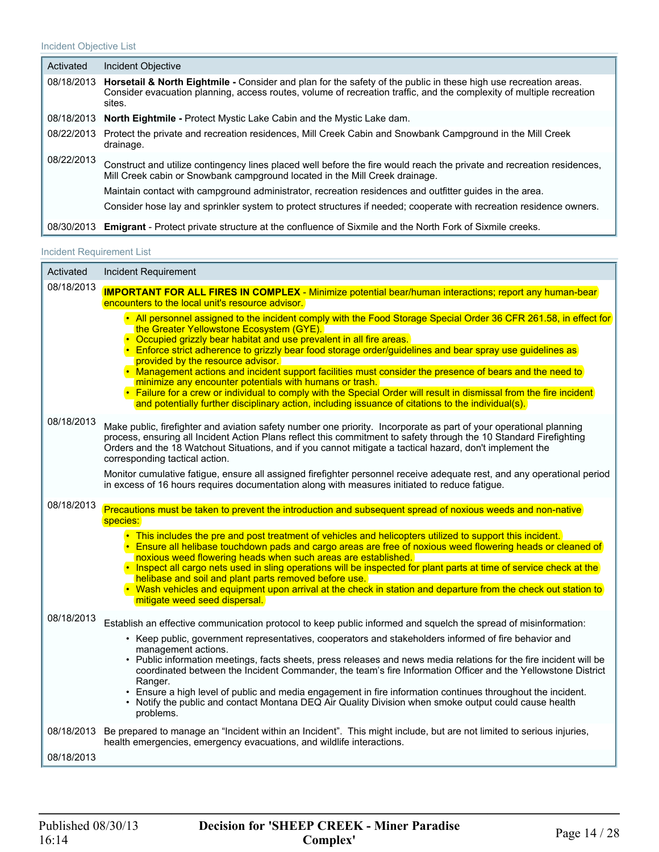| Activated  | Incident Objective                                                                                                                                                                                                                                            |  |
|------------|---------------------------------------------------------------------------------------------------------------------------------------------------------------------------------------------------------------------------------------------------------------|--|
|            | 08/18/2013 Horsetail & North Eightmile - Consider and plan for the safety of the public in these high use recreation areas.<br>Consider evacuation planning, access routes, volume of recreation traffic, and the complexity of multiple recreation<br>sites. |  |
| 08/18/2013 | <b>North Eightmile - Protect Mystic Lake Cabin and the Mystic Lake dam.</b>                                                                                                                                                                                   |  |
| 08/22/2013 | Protect the private and recreation residences, Mill Creek Cabin and Snowbank Campground in the Mill Creek<br>drainage.                                                                                                                                        |  |
| 08/22/2013 | Construct and utilize contingency lines placed well before the fire would reach the private and recreation residences,<br>Mill Creek cabin or Snowbank campground located in the Mill Creek drainage.                                                         |  |
|            | Maintain contact with campground administrator, recreation residences and outfitter guides in the area.                                                                                                                                                       |  |
|            | Consider hose lay and sprinkler system to protect structures if needed; cooperate with recreation residence owners.                                                                                                                                           |  |
|            | 08/30/2013 Emigrant - Protect private structure at the confluence of Sixmile and the North Fork of Sixmile creeks.                                                                                                                                            |  |

#### Incident Requirement List

| Activated  | <b>Incident Requirement</b>                                                                                                                                                                                                                                                                                                                                                                                                                                                                                                                                                                                                                                                                                                                                                              |
|------------|------------------------------------------------------------------------------------------------------------------------------------------------------------------------------------------------------------------------------------------------------------------------------------------------------------------------------------------------------------------------------------------------------------------------------------------------------------------------------------------------------------------------------------------------------------------------------------------------------------------------------------------------------------------------------------------------------------------------------------------------------------------------------------------|
| 08/18/2013 | <b>IMPORTANT FOR ALL FIRES IN COMPLEX - Minimize potential bear/human interactions; report any human-bear</b><br>encounters to the local unit's resource advisor.                                                                                                                                                                                                                                                                                                                                                                                                                                                                                                                                                                                                                        |
|            | . All personnel assigned to the incident comply with the Food Storage Special Order 36 CFR 261.58, in effect for<br>the Greater Yellowstone Ecosystem (GYE).<br>• Occupied grizzly bear habitat and use prevalent in all fire areas.<br>Enforce strict adherence to grizzly bear food storage order/guidelines and bear spray use guidelines as<br>provided by the resource advisor.<br>• Management actions and incident support facilities must consider the presence of bears and the need to<br>minimize any encounter potentials with humans or trash.<br>• Failure for a crew or individual to comply with the Special Order will result in dismissal from the fire incident<br>and potentially further disciplinary action, including issuance of citations to the individual(s). |
| 08/18/2013 | Make public, firefighter and aviation safety number one priority. Incorporate as part of your operational planning<br>process, ensuring all Incident Action Plans reflect this commitment to safety through the 10 Standard Firefighting<br>Orders and the 18 Watchout Situations, and if you cannot mitigate a tactical hazard, don't implement the<br>corresponding tactical action.                                                                                                                                                                                                                                                                                                                                                                                                   |
|            | Monitor cumulative fatigue, ensure all assigned firefighter personnel receive adequate rest, and any operational period<br>in excess of 16 hours requires documentation along with measures initiated to reduce fatigue.                                                                                                                                                                                                                                                                                                                                                                                                                                                                                                                                                                 |
| 08/18/2013 | Precautions must be taken to prevent the introduction and subsequent spread of noxious weeds and non-native<br>species:<br>. This includes the pre and post treatment of vehicles and helicopters utilized to support this incident.<br>Ensure all helibase touchdown pads and cargo areas are free of noxious weed flowering heads or cleaned of<br>noxious weed flowering heads when such areas are established.                                                                                                                                                                                                                                                                                                                                                                       |
|            | . Inspect all cargo nets used in sling operations will be inspected for plant parts at time of service check at the<br>helibase and soil and plant parts removed before use.<br>• Wash vehicles and equipment upon arrival at the check in station and departure from the check out station to<br>mitigate weed seed dispersal.                                                                                                                                                                                                                                                                                                                                                                                                                                                          |
| 08/18/2013 | Establish an effective communication protocol to keep public informed and squelch the spread of misinformation:<br>• Keep public, government representatives, cooperators and stakeholders informed of fire behavior and<br>management actions.<br>• Public information meetings, facts sheets, press releases and news media relations for the fire incident will be<br>coordinated between the Incident Commander, the team's fire Information Officer and the Yellowstone District<br>Ranger.<br>• Ensure a high level of public and media engagement in fire information continues throughout the incident.<br>• Notify the public and contact Montana DEQ Air Quality Division when smoke output could cause health<br>problems.                                                    |
|            | 08/18/2013 Be prepared to manage an "Incident within an Incident". This might include, but are not limited to serious injuries,<br>health emergencies, emergency evacuations, and wildlife interactions.                                                                                                                                                                                                                                                                                                                                                                                                                                                                                                                                                                                 |
| 08/18/2013 |                                                                                                                                                                                                                                                                                                                                                                                                                                                                                                                                                                                                                                                                                                                                                                                          |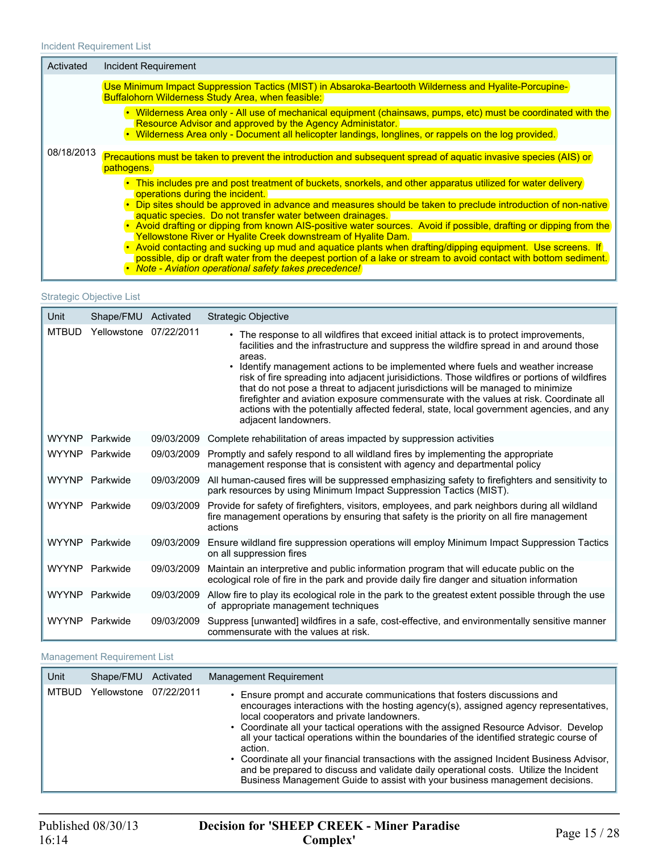| Activated  | Incident Requirement                                                                                                                                                                                                                                                                                                                                                                                                                                                                                                                                                                                                                                                                                                                                                                                         |
|------------|--------------------------------------------------------------------------------------------------------------------------------------------------------------------------------------------------------------------------------------------------------------------------------------------------------------------------------------------------------------------------------------------------------------------------------------------------------------------------------------------------------------------------------------------------------------------------------------------------------------------------------------------------------------------------------------------------------------------------------------------------------------------------------------------------------------|
|            | Use Minimum Impact Suppression Tactics (MIST) in Absaroka-Beartooth Wilderness and Hyalite-Porcupine-<br><b>Buffalohorn Wilderness Study Area, when feasible:</b>                                                                                                                                                                                                                                                                                                                                                                                                                                                                                                                                                                                                                                            |
|            | • Wilderness Area only - All use of mechanical equipment (chainsaws, pumps, etc) must be coordinated with the<br><b>Resource Advisor and approved by the Agency Administator.</b><br>• Wilderness Area only - Document all helicopter landings, longlines, or rappels on the log provided.                                                                                                                                                                                                                                                                                                                                                                                                                                                                                                                   |
| 08/18/2013 | Precautions must be taken to prevent the introduction and subsequent spread of aquatic invasive species (AIS) or<br>pathogens.                                                                                                                                                                                                                                                                                                                                                                                                                                                                                                                                                                                                                                                                               |
|            | . This includes pre and post treatment of buckets, snorkels, and other apparatus utilized for water delivery<br>operations during the incident.<br>• Dip sites should be approved in advance and measures should be taken to preclude introduction of non-native<br>aquatic species. Do not transfer water between drainages.<br>• Avoid drafting or dipping from known AIS-positive water sources. Avoid if possible, drafting or dipping from the<br>Yellowstone River or Hyalite Creek downstream of Hyalite Dam.<br>Avoid contacting and sucking up mud and aquatice plants when drafting/dipping equipment. Use screens. If<br>possible, dip or draft water from the deepest portion of a lake or stream to avoid contact with bottom sediment.<br>Note - Aviation operational safety takes precedence! |

#### Strategic Objective List

| Unit         | Shape/FMU              | Activated  | Strategic Objective                                                                                                                                                                                                                                                                                                                                                                                                                                                                                                                                                                                                                                                              |
|--------------|------------------------|------------|----------------------------------------------------------------------------------------------------------------------------------------------------------------------------------------------------------------------------------------------------------------------------------------------------------------------------------------------------------------------------------------------------------------------------------------------------------------------------------------------------------------------------------------------------------------------------------------------------------------------------------------------------------------------------------|
| <b>MTBUD</b> | Yellowstone 07/22/2011 |            | • The response to all wildfires that exceed initial attack is to protect improvements,<br>facilities and the infrastructure and suppress the wildfire spread in and around those<br>areas.<br>• Identify management actions to be implemented where fuels and weather increase<br>risk of fire spreading into adjacent jurisidictions. Those wildfires or portions of wildfires<br>that do not pose a threat to adjacent jurisdictions will be managed to minimize<br>firefighter and aviation exposure commensurate with the values at risk. Coordinate all<br>actions with the potentially affected federal, state, local government agencies, and any<br>adjacent landowners. |
| <b>WYYNP</b> | Parkwide               | 09/03/2009 | Complete rehabilitation of areas impacted by suppression activities                                                                                                                                                                                                                                                                                                                                                                                                                                                                                                                                                                                                              |
| <b>WYYNP</b> | Parkwide               | 09/03/2009 | Promptly and safely respond to all wildland fires by implementing the appropriate<br>management response that is consistent with agency and departmental policy                                                                                                                                                                                                                                                                                                                                                                                                                                                                                                                  |
| <b>WYYNP</b> | Parkwide               | 09/03/2009 | All human-caused fires will be suppressed emphasizing safety to firefighters and sensitivity to<br>park resources by using Minimum Impact Suppression Tactics (MIST).                                                                                                                                                                                                                                                                                                                                                                                                                                                                                                            |
| <b>WYYNP</b> | Parkwide               | 09/03/2009 | Provide for safety of firefighters, visitors, employees, and park neighbors during all wildland<br>fire management operations by ensuring that safety is the priority on all fire management<br>actions                                                                                                                                                                                                                                                                                                                                                                                                                                                                          |
|              | WYYNP Parkwide         | 09/03/2009 | Ensure wildland fire suppression operations will employ Minimum Impact Suppression Tactics<br>on all suppression fires                                                                                                                                                                                                                                                                                                                                                                                                                                                                                                                                                           |
| <b>WYYNP</b> | Parkwide               | 09/03/2009 | Maintain an interpretive and public information program that will educate public on the<br>ecological role of fire in the park and provide daily fire danger and situation information                                                                                                                                                                                                                                                                                                                                                                                                                                                                                           |
| <b>WYYNP</b> | Parkwide               | 09/03/2009 | Allow fire to play its ecological role in the park to the greatest extent possible through the use<br>of appropriate management techniques                                                                                                                                                                                                                                                                                                                                                                                                                                                                                                                                       |
| <b>WYYNP</b> | Parkwide               | 09/03/2009 | Suppress [unwanted] wildfires in a safe, cost-effective, and environmentally sensitive manner<br>commensurate with the values at risk.                                                                                                                                                                                                                                                                                                                                                                                                                                                                                                                                           |

#### Management Requirement List

| Unit<br><b>Management Requirement</b><br>Activated<br>Shape/FMU<br>Yellowstone 07/22/2011<br><b>MTBUD</b><br>• Ensure prompt and accurate communications that fosters discussions and                                                                                                                                                                                                                                                                                                                                                                                                                   |
|---------------------------------------------------------------------------------------------------------------------------------------------------------------------------------------------------------------------------------------------------------------------------------------------------------------------------------------------------------------------------------------------------------------------------------------------------------------------------------------------------------------------------------------------------------------------------------------------------------|
|                                                                                                                                                                                                                                                                                                                                                                                                                                                                                                                                                                                                         |
| encourages interactions with the hosting agency(s), assigned agency representatives,<br>local cooperators and private landowners.<br>• Coordinate all your tactical operations with the assigned Resource Advisor. Develop<br>all your tactical operations within the boundaries of the identified strategic course of<br>action.<br>• Coordinate all your financial transactions with the assigned Incident Business Advisor,<br>and be prepared to discuss and validate daily operational costs. Utilize the Incident<br>Business Management Guide to assist with your business management decisions. |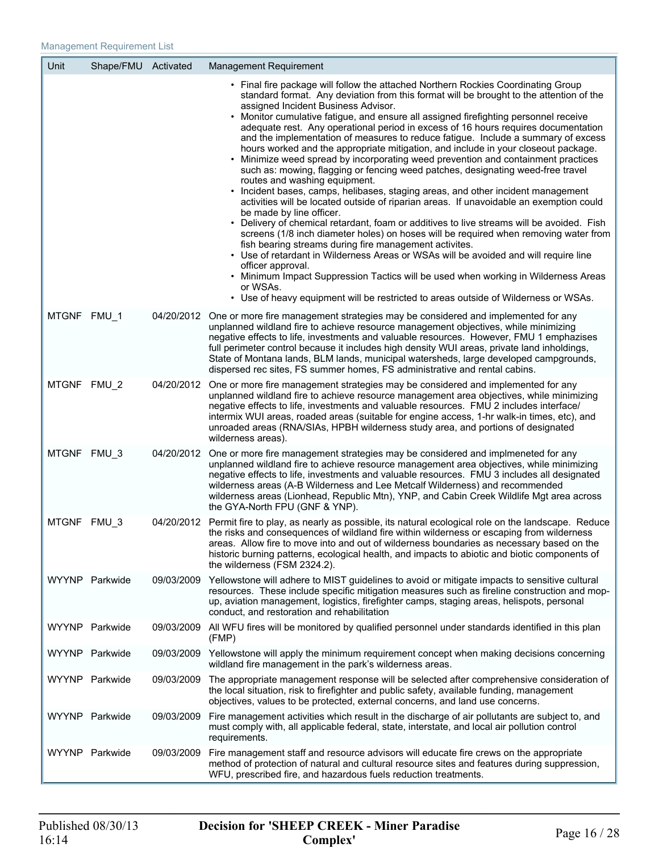Y

| Unit | Shape/FMU Activated |            | <b>Management Requirement</b>                                                                                                                                                                                                                                                                                                                                                                                                                                                                                                                                                                                                                                                                                                                                                                                                                                                                                                                                                                                                                                                                                                                                                                                                                                                                                                                                                                                                                                                                                                                         |
|------|---------------------|------------|-------------------------------------------------------------------------------------------------------------------------------------------------------------------------------------------------------------------------------------------------------------------------------------------------------------------------------------------------------------------------------------------------------------------------------------------------------------------------------------------------------------------------------------------------------------------------------------------------------------------------------------------------------------------------------------------------------------------------------------------------------------------------------------------------------------------------------------------------------------------------------------------------------------------------------------------------------------------------------------------------------------------------------------------------------------------------------------------------------------------------------------------------------------------------------------------------------------------------------------------------------------------------------------------------------------------------------------------------------------------------------------------------------------------------------------------------------------------------------------------------------------------------------------------------------|
|      |                     |            | • Final fire package will follow the attached Northern Rockies Coordinating Group<br>standard format. Any deviation from this format will be brought to the attention of the<br>assigned Incident Business Advisor.<br>• Monitor cumulative fatigue, and ensure all assigned firefighting personnel receive<br>adequate rest. Any operational period in excess of 16 hours requires documentation<br>and the implementation of measures to reduce fatigue. Include a summary of excess<br>hours worked and the appropriate mitigation, and include in your closeout package.<br>• Minimize weed spread by incorporating weed prevention and containment practices<br>such as: mowing, flagging or fencing weed patches, designating weed-free travel<br>routes and washing equipment.<br>• Incident bases, camps, helibases, staging areas, and other incident management<br>activities will be located outside of riparian areas. If unavoidable an exemption could<br>be made by line officer.<br>• Delivery of chemical retardant, foam or additives to live streams will be avoided. Fish<br>screens (1/8 inch diameter holes) on hoses will be required when removing water from<br>fish bearing streams during fire management activites.<br>• Use of retardant in Wilderness Areas or WSAs will be avoided and will require line<br>officer approval.<br>• Minimum Impact Suppression Tactics will be used when working in Wilderness Areas<br>or WSAs.<br>• Use of heavy equipment will be restricted to areas outside of Wilderness or WSAs. |
|      | MTGNF FMU_1         |            | 04/20/2012 One or more fire management strategies may be considered and implemented for any<br>unplanned wildland fire to achieve resource management objectives, while minimizing<br>negative effects to life, investments and valuable resources. However, FMU 1 emphazises<br>full perimeter control because it includes high density WUI areas, private land inholdings,<br>State of Montana lands, BLM lands, municipal watersheds, large developed campgrounds,<br>dispersed rec sites, FS summer homes, FS administrative and rental cabins.                                                                                                                                                                                                                                                                                                                                                                                                                                                                                                                                                                                                                                                                                                                                                                                                                                                                                                                                                                                                   |
|      | MTGNF FMU 2         |            | 04/20/2012 One or more fire management strategies may be considered and implemented for any<br>unplanned wildland fire to achieve resource management area objectives, while minimizing<br>negative effects to life, investments and valuable resources. FMU 2 includes interface/<br>intermix WUI areas, roaded areas (suitable for engine access, 1-hr walk-in times, etc), and<br>unroaded areas (RNA/SIAs, HPBH wilderness study area, and portions of designated<br>wilderness areas).                                                                                                                                                                                                                                                                                                                                                                                                                                                                                                                                                                                                                                                                                                                                                                                                                                                                                                                                                                                                                                                           |
|      | MTGNF FMU_3         |            | 04/20/2012 One or more fire management strategies may be considered and implmeneted for any<br>unplanned wildland fire to achieve resource management area objectives, while minimizing<br>negative effects to life, investments and valuable resources. FMU 3 includes all designated<br>wilderness areas (A-B Wilderness and Lee Metcalf Wilderness) and recommended<br>wilderness areas (Lionhead, Republic Mtn), YNP, and Cabin Creek Wildlife Mgt area across<br>the GYA-North FPU (GNF & YNP).                                                                                                                                                                                                                                                                                                                                                                                                                                                                                                                                                                                                                                                                                                                                                                                                                                                                                                                                                                                                                                                  |
|      | MTGNF FMU_3         |            | 04/20/2012 Permit fire to play, as nearly as possible, its natural ecological role on the landscape. Reduce<br>the risks and consequences of wildland fire within wilderness or escaping from wilderness<br>areas. Allow fire to move into and out of wilderness boundaries as necessary based on the<br>historic burning patterns, ecological health, and impacts to abiotic and biotic components of<br>the wilderness (FSM 2324.2).                                                                                                                                                                                                                                                                                                                                                                                                                                                                                                                                                                                                                                                                                                                                                                                                                                                                                                                                                                                                                                                                                                                |
|      | WYYNP Parkwide      |            | 09/03/2009 Yellowstone will adhere to MIST guidelines to avoid or mitigate impacts to sensitive cultural<br>resources. These include specific mitigation measures such as fireline construction and mop-<br>up, aviation management, logistics, firefighter camps, staging areas, helispots, personal<br>conduct, and restoration and rehabilitation                                                                                                                                                                                                                                                                                                                                                                                                                                                                                                                                                                                                                                                                                                                                                                                                                                                                                                                                                                                                                                                                                                                                                                                                  |
|      | WYYNP Parkwide      |            | 09/03/2009 All WFU fires will be monitored by qualified personnel under standards identified in this plan<br>(FMP)                                                                                                                                                                                                                                                                                                                                                                                                                                                                                                                                                                                                                                                                                                                                                                                                                                                                                                                                                                                                                                                                                                                                                                                                                                                                                                                                                                                                                                    |
|      | WYYNP Parkwide      | 09/03/2009 | Yellowstone will apply the minimum requirement concept when making decisions concerning<br>wildland fire management in the park's wilderness areas.                                                                                                                                                                                                                                                                                                                                                                                                                                                                                                                                                                                                                                                                                                                                                                                                                                                                                                                                                                                                                                                                                                                                                                                                                                                                                                                                                                                                   |
|      | WYYNP Parkwide      |            | 09/03/2009 The appropriate management response will be selected after comprehensive consideration of<br>the local situation, risk to firefighter and public safety, available funding, management<br>objectives, values to be protected, external concerns, and land use concerns.                                                                                                                                                                                                                                                                                                                                                                                                                                                                                                                                                                                                                                                                                                                                                                                                                                                                                                                                                                                                                                                                                                                                                                                                                                                                    |
|      | WYYNP Parkwide      |            | 09/03/2009 Fire management activities which result in the discharge of air pollutants are subject to, and<br>must comply with, all applicable federal, state, interstate, and local air pollution control<br>requirements.                                                                                                                                                                                                                                                                                                                                                                                                                                                                                                                                                                                                                                                                                                                                                                                                                                                                                                                                                                                                                                                                                                                                                                                                                                                                                                                            |
|      | WYYNP Parkwide      |            | 09/03/2009 Fire management staff and resource advisors will educate fire crews on the appropriate<br>method of protection of natural and cultural resource sites and features during suppression,                                                                                                                                                                                                                                                                                                                                                                                                                                                                                                                                                                                                                                                                                                                                                                                                                                                                                                                                                                                                                                                                                                                                                                                                                                                                                                                                                     |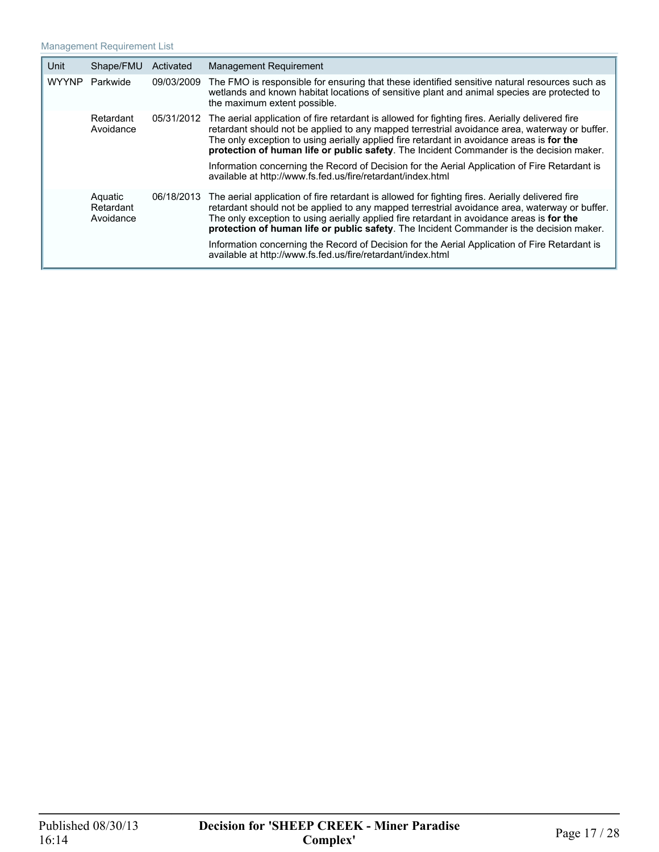| Unit         | Shape/FMU                         | Activated  | <b>Management Requirement</b>                                                                                                                                                                                                                                                                                                                                                                                                                                                              |  |
|--------------|-----------------------------------|------------|--------------------------------------------------------------------------------------------------------------------------------------------------------------------------------------------------------------------------------------------------------------------------------------------------------------------------------------------------------------------------------------------------------------------------------------------------------------------------------------------|--|
| <b>WYYNP</b> | Parkwide                          | 09/03/2009 | The FMO is responsible for ensuring that these identified sensitive natural resources such as<br>wetlands and known habitat locations of sensitive plant and animal species are protected to<br>the maximum extent possible.                                                                                                                                                                                                                                                               |  |
|              | Retardant<br>Avoidance            | 05/31/2012 | The aerial application of fire retardant is allowed for fighting fires. Aerially delivered fire<br>retardant should not be applied to any mapped terrestrial avoidance area, waterway or buffer.<br>The only exception to using aerially applied fire retardant in avoidance areas is for the<br>protection of human life or public safety. The Incident Commander is the decision maker.<br>Information concerning the Record of Decision for the Aerial Application of Fire Retardant is |  |
|              |                                   |            | available at http://www.fs.fed.us/fire/retardant/index.html                                                                                                                                                                                                                                                                                                                                                                                                                                |  |
|              | Aquatic<br>Retardant<br>Avoidance | 06/18/2013 | The aerial application of fire retardant is allowed for fighting fires. Aerially delivered fire<br>retardant should not be applied to any mapped terrestrial avoidance area, waterway or buffer.<br>The only exception to using aerially applied fire retardant in avoidance areas is for the<br>protection of human life or public safety. The Incident Commander is the decision maker.                                                                                                  |  |
|              |                                   |            | Information concerning the Record of Decision for the Aerial Application of Fire Retardant is<br>available at http://www.fs.fed.us/fire/retardant/index.html                                                                                                                                                                                                                                                                                                                               |  |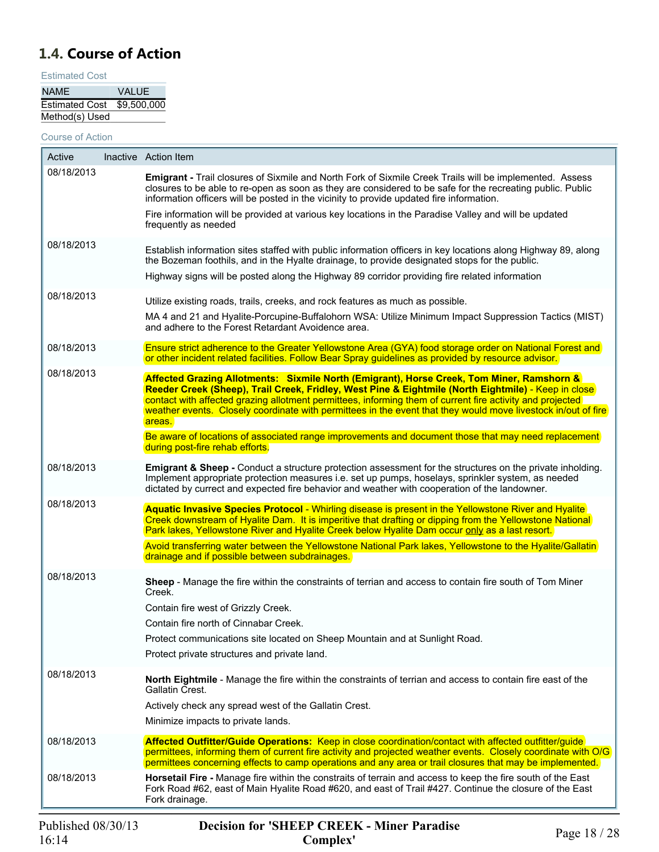## <span id="page-17-0"></span>**1.4. Course of Action**

Estimated Cost

| <b>NAME</b>                | <b>VALUE</b> |
|----------------------------|--------------|
| Estimated Cost \$9,500,000 |              |
| Method(s) Used             |              |

Course of Action

| Active     | Inactive Action Item                                                                                                                                                                                                                                                                                                                                                                                                                     |
|------------|------------------------------------------------------------------------------------------------------------------------------------------------------------------------------------------------------------------------------------------------------------------------------------------------------------------------------------------------------------------------------------------------------------------------------------------|
| 08/18/2013 | Emigrant - Trail closures of Sixmile and North Fork of Sixmile Creek Trails will be implemented. Assess<br>closures to be able to re-open as soon as they are considered to be safe for the recreating public. Public<br>information officers will be posted in the vicinity to provide updated fire information.                                                                                                                        |
|            | Fire information will be provided at various key locations in the Paradise Valley and will be updated<br>frequently as needed                                                                                                                                                                                                                                                                                                            |
| 08/18/2013 | Establish information sites staffed with public information officers in key locations along Highway 89, along<br>the Bozeman foothils, and in the Hyalte drainage, to provide designated stops for the public.<br>Highway signs will be posted along the Highway 89 corridor providing fire related information                                                                                                                          |
| 08/18/2013 | Utilize existing roads, trails, creeks, and rock features as much as possible.<br>MA 4 and 21 and Hyalite-Porcupine-Buffalohorn WSA: Utilize Minimum Impact Suppression Tactics (MIST)<br>and adhere to the Forest Retardant Avoidence area.                                                                                                                                                                                             |
| 08/18/2013 | Ensure strict adherence to the Greater Yellowstone Area (GYA) food storage order on National Forest and<br>or other incident related facilities. Follow Bear Spray guidelines as provided by resource advisor.                                                                                                                                                                                                                           |
| 08/18/2013 | Affected Grazing Allotments: Sixmile North (Emigrant), Horse Creek, Tom Miner, Ramshorn &<br>Reeder Creek (Sheep), Trail Creek, Fridley, West Pine & Eightmile (North Eightmile) - Keep in close<br>contact with affected grazing allotment permittees, informing them of current fire activity and projected<br>weather events. Closely coordinate with permittees in the event that they would move livestock in/out of fire<br>areas. |
|            | Be aware of locations of associated range improvements and document those that may need replacement<br>during post-fire rehab efforts.                                                                                                                                                                                                                                                                                                   |
| 08/18/2013 | <b>Emigrant &amp; Sheep - Conduct a structure protection assessment for the structures on the private inholding.</b><br>Implement appropriate protection measures i.e. set up pumps, hoselays, sprinkler system, as needed<br>dictated by currect and expected fire behavior and weather with cooperation of the landowner.                                                                                                              |
| 08/18/2013 | Aquatic Invasive Species Protocol - Whirling disease is present in the Yellowstone River and Hyalite<br>Creek downstream of Hyalite Dam. It is imperitive that drafting or dipping from the Yellowstone National<br>Park lakes, Yellowstone River and Hyalite Creek below Hyalite Dam occur only as a last resort.                                                                                                                       |
|            | Avoid transferring water between the Yellowstone National Park lakes, Yellowstone to the Hyalite/Gallatin<br>drainage and if possible between subdrainages.                                                                                                                                                                                                                                                                              |
| 08/18/2013 | Sheep - Manage the fire within the constraints of terrian and access to contain fire south of Tom Miner<br>Creek.<br>Contain fire west of Grizzly Creek.                                                                                                                                                                                                                                                                                 |
|            | Contain fire north of Cinnabar Creek.                                                                                                                                                                                                                                                                                                                                                                                                    |
|            | Protect communications site located on Sheep Mountain and at Sunlight Road.                                                                                                                                                                                                                                                                                                                                                              |
|            | Protect private structures and private land.                                                                                                                                                                                                                                                                                                                                                                                             |
| 08/18/2013 | North Eightmile - Manage the fire within the constraints of terrian and access to contain fire east of the<br>Gallatin Crest.                                                                                                                                                                                                                                                                                                            |
|            | Actively check any spread west of the Gallatin Crest.                                                                                                                                                                                                                                                                                                                                                                                    |
|            | Minimize impacts to private lands.                                                                                                                                                                                                                                                                                                                                                                                                       |
| 08/18/2013 | Affected Outfitter/Guide Operations: Keep in close coordination/contact with affected outfitter/guide<br>permittees, informing them of current fire activity and projected weather events. Closely coordinate with O/G<br>permittees concerning effects to camp operations and any area or trail closures that may be implemented.                                                                                                       |
| 08/18/2013 | Horsetail Fire - Manage fire within the constraits of terrain and access to keep the fire south of the East<br>Fork Road #62, east of Main Hyalite Road #620, and east of Trail #427. Continue the closure of the East<br>Fork drainage.                                                                                                                                                                                                 |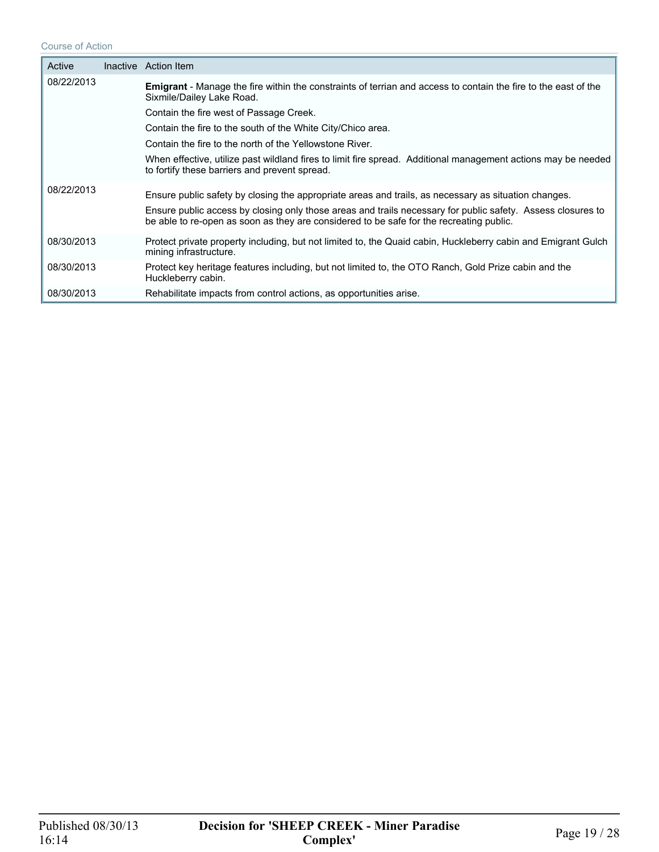#### Course of Action

| Active     | Inactive Action Item                                                                                                                                                                                                                                                                                           |
|------------|----------------------------------------------------------------------------------------------------------------------------------------------------------------------------------------------------------------------------------------------------------------------------------------------------------------|
| 08/22/2013 | <b>Emigrant</b> - Manage the fire within the constraints of terrian and access to contain the fire to the east of the<br>Sixmile/Dailey Lake Road.                                                                                                                                                             |
|            | Contain the fire west of Passage Creek.                                                                                                                                                                                                                                                                        |
|            | Contain the fire to the south of the White City/Chico area.                                                                                                                                                                                                                                                    |
|            | Contain the fire to the north of the Yellowstone River.                                                                                                                                                                                                                                                        |
|            | When effective, utilize past wildland fires to limit fire spread. Additional management actions may be needed<br>to fortify these barriers and prevent spread.                                                                                                                                                 |
| 08/22/2013 | Ensure public safety by closing the appropriate areas and trails, as necessary as situation changes.<br>Ensure public access by closing only those areas and trails necessary for public safety. Assess closures to<br>be able to re-open as soon as they are considered to be safe for the recreating public. |
| 08/30/2013 | Protect private property including, but not limited to, the Quaid cabin, Huckleberry cabin and Emigrant Gulch<br>mining infrastructure.                                                                                                                                                                        |
| 08/30/2013 | Protect key heritage features including, but not limited to, the OTO Ranch, Gold Prize cabin and the<br>Huckleberry cabin.                                                                                                                                                                                     |
| 08/30/2013 | Rehabilitate impacts from control actions, as opportunities arise.                                                                                                                                                                                                                                             |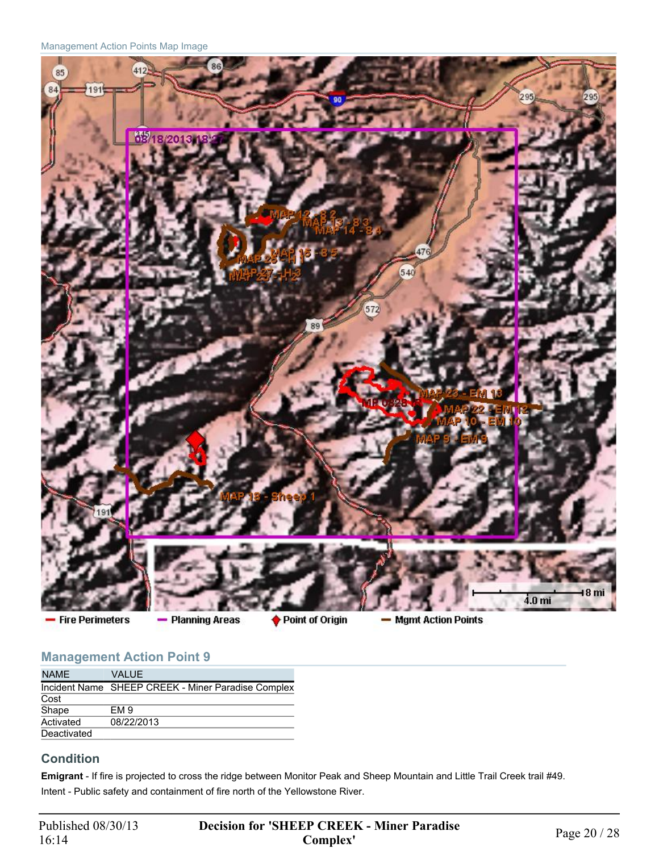Management Action Points Map Image



- Fire Perimeters

- Planning Areas

♦ Point of Origin

- Mgmt Action Points

## **Management Action Point 9**

| <b>NAME</b> | VALUE.                                             |
|-------------|----------------------------------------------------|
|             | Incident Name SHEEP CREEK - Miner Paradise Complex |
| Cost        |                                                    |
| Shape       | EM <sub>9</sub>                                    |
| Activated   | 08/22/2013                                         |
| Deactivated |                                                    |

### **Condition**

**Emigrant** - If fire is projected to cross the ridge between Monitor Peak and Sheep Mountain and Little Trail Creek trail #49. Intent - Public safety and containment of fire north of the Yellowstone River.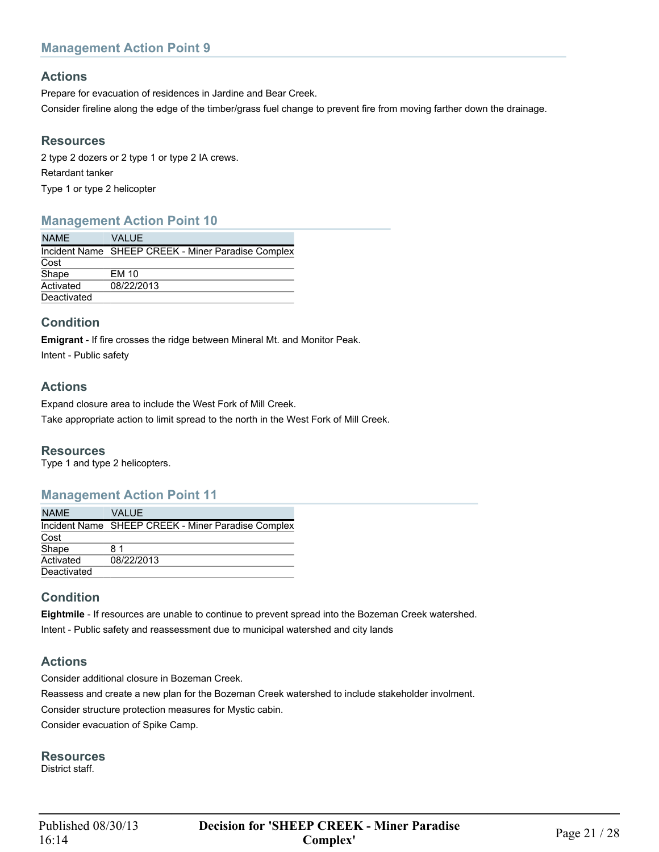## **Actions**

Prepare for evacuation of residences in Jardine and Bear Creek.

Consider fireline along the edge of the timber/grass fuel change to prevent fire from moving farther down the drainage.

#### **Resources**

2 type 2 dozers or 2 type 1 or type 2 IA crews. Retardant tanker Type 1 or type 2 helicopter

## **Management Action Point 10**

| <b>NAME</b> | VALUE                                              |
|-------------|----------------------------------------------------|
|             | Incident Name SHEEP CREEK - Miner Paradise Complex |
| Cost        |                                                    |
| Shape       | EM 10                                              |
| Activated   | 08/22/2013                                         |
| Deactivated |                                                    |

## **Condition**

**Emigrant** - If fire crosses the ridge between Mineral Mt. and Monitor Peak.

Intent - Public safety

## **Actions**

Expand closure area to include the West Fork of Mill Creek.

Take appropriate action to limit spread to the north in the West Fork of Mill Creek.

#### **Resources**

Type 1 and type 2 helicopters.

#### **Management Action Point 11**

| <b>NAME</b> | VALUE.                                             |
|-------------|----------------------------------------------------|
|             | Incident Name SHEEP CREEK - Miner Paradise Complex |
| Cost        |                                                    |
| Shape       | 81                                                 |
| Activated   | 08/22/2013                                         |
| Deactivated |                                                    |

## **Condition**

**Eightmile** - If resources are unable to continue to prevent spread into the Bozeman Creek watershed. Intent - Public safety and reassessment due to municipal watershed and city lands

## **Actions**

Consider additional closure in Bozeman Creek. Reassess and create a new plan for the Bozeman Creek watershed to include stakeholder involment. Consider structure protection measures for Mystic cabin. Consider evacuation of Spike Camp.

**Resources**

District staff.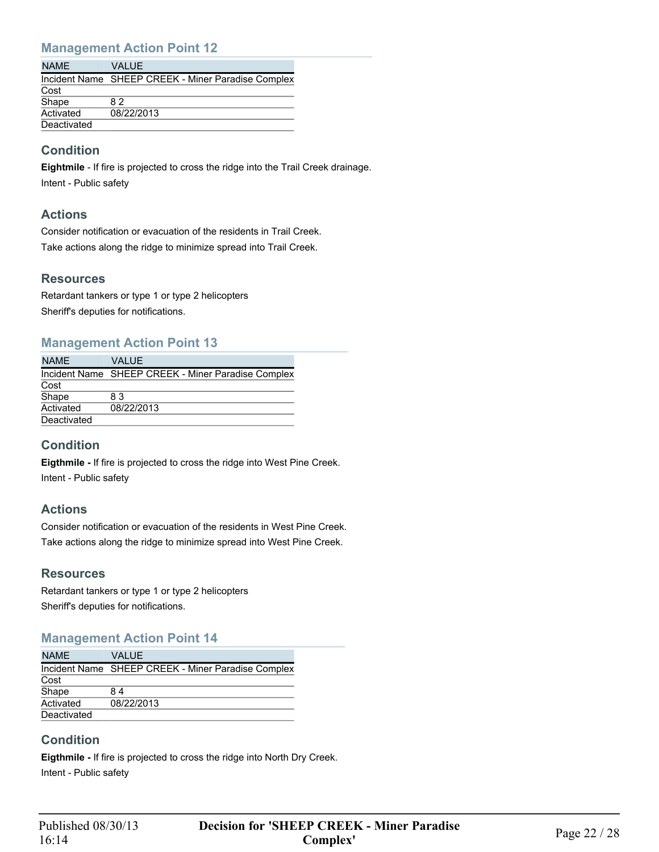| <b>NAME</b> | VAI UF.                                            |
|-------------|----------------------------------------------------|
|             | Incident Name SHEEP CREEK - Miner Paradise Complex |
| Cost        |                                                    |
| Shape       | 82                                                 |
| Activated   | 08/22/2013                                         |
| Deactivated |                                                    |

## **Condition**

**Eightmile** - If fire is projected to cross the ridge into the Trail Creek drainage. Intent - Public safety

#### **Actions**

Consider notification or evacuation of the residents in Trail Creek. Take actions along the ridge to minimize spread into Trail Creek.

### **Resources**

Retardant tankers or type 1 or type 2 helicopters Sheriff's deputies for notifications.

#### **Management Action Point 13**

| <b>NAME</b> | <b>VALUE</b>                                       |
|-------------|----------------------------------------------------|
|             | Incident Name SHEEP CREEK - Miner Paradise Complex |
| Cost        |                                                    |
| Shape       | 83                                                 |
| Activated   | 08/22/2013                                         |
| Deactivated |                                                    |

### **Condition**

**Eigthmile -** If fire is projected to cross the ridge into West Pine Creek. Intent - Public safety

### **Actions**

Consider notification or evacuation of the residents in West Pine Creek. Take actions along the ridge to minimize spread into West Pine Creek.

#### **Resources**

Retardant tankers or type 1 or type 2 helicopters Sheriff's deputies for notifications.

#### **Management Action Point 14**

| <b>NAME</b> | VALUE                                              |
|-------------|----------------------------------------------------|
|             | Incident Name SHEEP CREEK - Miner Paradise Complex |
| Cost        |                                                    |
| Shape       | 84                                                 |
| Activated   | 08/22/2013                                         |
| Deactivated |                                                    |

### **Condition**

**Eigthmile -** If fire is projected to cross the ridge into North Dry Creek. Intent - Public safety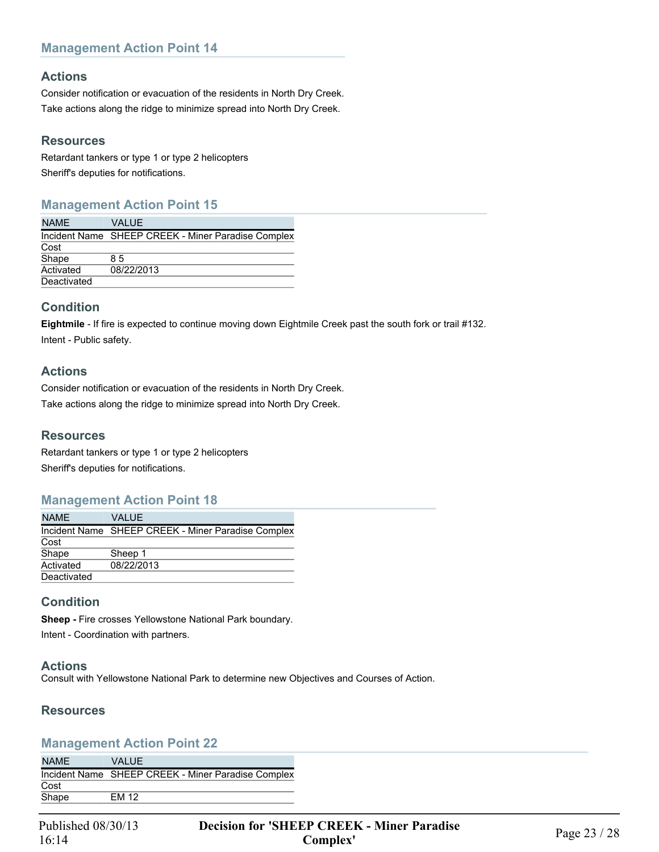#### **Actions**

Consider notification or evacuation of the residents in North Dry Creek. Take actions along the ridge to minimize spread into North Dry Creek.

#### **Resources**

Retardant tankers or type 1 or type 2 helicopters Sheriff's deputies for notifications.

### **Management Action Point 15**

| <b>NAME</b> | VALUE                                              |
|-------------|----------------------------------------------------|
|             | Incident Name SHEEP CREEK - Miner Paradise Complex |
| Cost        |                                                    |
| Shape       | 85                                                 |
| Activated   | 08/22/2013                                         |
| Deactivated |                                                    |

### **Condition**

**Eightmile** - If fire is expected to continue moving down Eightmile Creek past the south fork or trail #132. Intent - Public safety.

#### **Actions**

Consider notification or evacuation of the residents in North Dry Creek. Take actions along the ridge to minimize spread into North Dry Creek.

#### **Resources**

Retardant tankers or type 1 or type 2 helicopters Sheriff's deputies for notifications.

#### **Management Action Point 18**

| <b>NAME</b> | <b>VALUE</b>                                       |
|-------------|----------------------------------------------------|
|             | Incident Name SHEEP CREEK - Miner Paradise Complex |
| Cost        |                                                    |
| Shape       | Sheep 1                                            |
| Activated   | 08/22/2013                                         |
| Deactivated |                                                    |

#### **Condition**

**Sheep -** Fire crosses Yellowstone National Park boundary. Intent - Coordination with partners.

#### **Actions**

Consult with Yellowstone National Park to determine new Objectives and Courses of Action.

#### **Resources**

#### **Management Action Point 22**

| <b>NAME</b> | VAI UF.                                            |
|-------------|----------------------------------------------------|
|             | Incident Name SHEEP CREEK - Miner Paradise Complex |
| Cost        |                                                    |
| Shape       | <b>EM 12</b>                                       |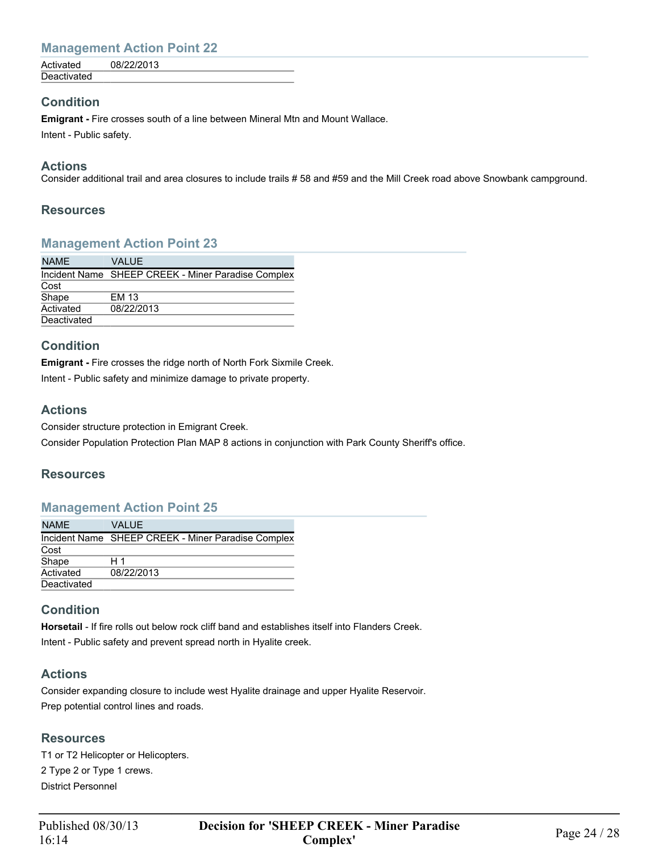| Deactivated | Activated | 08/22/2013 |  |
|-------------|-----------|------------|--|
|             |           |            |  |

#### **Condition**

**Emigrant -** Fire crosses south of a line between Mineral Mtn and Mount Wallace. Intent - Public safety.

#### **Actions**

Consider additional trail and area closures to include trails # 58 and #59 and the Mill Creek road above Snowbank campground.

#### **Resources**

### **Management Action Point 23**

| <b>NAME</b> | <b>VALUE</b>                                       |
|-------------|----------------------------------------------------|
|             | Incident Name SHEEP CREEK - Miner Paradise Complex |
| Cost        |                                                    |
| Shape       | EM 13                                              |
| Activated   | 08/22/2013                                         |
| Deactivated |                                                    |

#### **Condition**

**Emigrant -** Fire crosses the ridge north of North Fork Sixmile Creek.

Intent - Public safety and minimize damage to private property.

#### **Actions**

Consider structure protection in Emigrant Creek.

Consider Population Protection Plan MAP 8 actions in conjunction with Park County Sheriff's office.

#### **Resources**

#### **Management Action Point 25**

| <b>NAME</b> | VALUE.                                             |
|-------------|----------------------------------------------------|
|             | Incident Name SHEEP CREEK - Miner Paradise Complex |
| Cost        |                                                    |
| Shape       | H 1                                                |
| Activated   | 08/22/2013                                         |
| Deactivated |                                                    |

### **Condition**

**Horsetail** - If fire rolls out below rock cliff band and establishes itself into Flanders Creek. Intent - Public safety and prevent spread north in Hyalite creek.

### **Actions**

Consider expanding closure to include west Hyalite drainage and upper Hyalite Reservoir. Prep potential control lines and roads.

#### **Resources**

T1 or T2 Helicopter or Helicopters. 2 Type 2 or Type 1 crews. District Personnel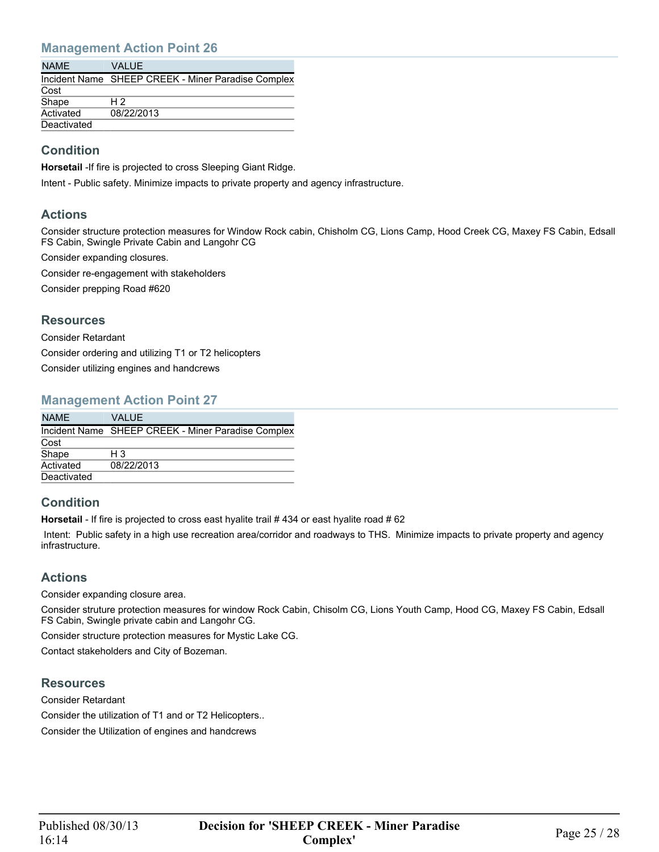| VAI UF.                                            |
|----------------------------------------------------|
| Incident Name SHEEP CREEK - Miner Paradise Complex |
|                                                    |
| H 2                                                |
| 08/22/2013                                         |
|                                                    |
|                                                    |

## **Condition**

**Horsetail** -If fire is projected to cross Sleeping Giant Ridge.

Intent - Public safety. Minimize impacts to private property and agency infrastructure.

#### **Actions**

Consider structure protection measures for Window Rock cabin, Chisholm CG, Lions Camp, Hood Creek CG, Maxey FS Cabin, Edsall FS Cabin, Swingle Private Cabin and Langohr CG

Consider expanding closures.

Consider re-engagement with stakeholders

Consider prepping Road #620

#### **Resources**

Consider Retardant

Consider ordering and utilizing T1 or T2 helicopters

Consider utilizing engines and handcrews

#### **Management Action Point 27**

| <b>NAME</b> | VALUE                                              |
|-------------|----------------------------------------------------|
|             | Incident Name SHEEP CREEK - Miner Paradise Complex |
| Cost        |                                                    |
| Shape       | H 3                                                |
| Activated   | 08/22/2013                                         |
| Deactivated |                                                    |

### **Condition**

Horsetail - If fire is projected to cross east hyalite trail # 434 or east hyalite road # 62

 Intent: Public safety in a high use recreation area/corridor and roadways to THS. Minimize impacts to private property and agency infrastructure.

### **Actions**

Consider expanding closure area.

Consider struture protection measures for window Rock Cabin, Chisolm CG, Lions Youth Camp, Hood CG, Maxey FS Cabin, Edsall FS Cabin, Swingle private cabin and Langohr CG.

Consider structure protection measures for Mystic Lake CG.

Contact stakeholders and City of Bozeman.

#### **Resources**

Consider Retardant Consider the utilization of T1 and or T2 Helicopters.. Consider the Utilization of engines and handcrews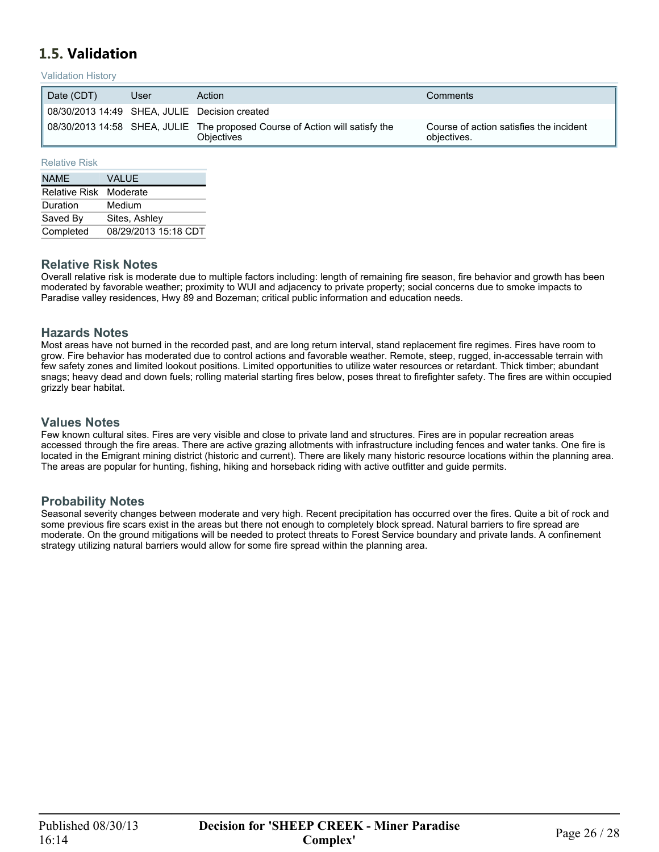## <span id="page-25-0"></span>**1.5. Validation**

#### Validation History

| Date (CDT)                                    | User | Action                                                                                    | Comments                                               |
|-----------------------------------------------|------|-------------------------------------------------------------------------------------------|--------------------------------------------------------|
| 08/30/2013 14:49 SHEA, JULIE Decision created |      |                                                                                           |                                                        |
|                                               |      | 08/30/2013 14:58 SHEA, JULIE The proposed Course of Action will satisfy the<br>Obiectives | Course of action satisfies the incident<br>objectives. |

#### Relative Risk

| <b>NAME</b>            | <b>VALUE</b>         |
|------------------------|----------------------|
| Relative Risk Moderate |                      |
| Duration               | Medium               |
| Saved By               | Sites, Ashley        |
| Completed              | 08/29/2013 15:18 CDT |

#### **Relative Risk Notes**

Overall relative risk is moderate due to multiple factors including: length of remaining fire season, fire behavior and growth has been moderated by favorable weather; proximity to WUI and adjacency to private property; social concerns due to smoke impacts to Paradise valley residences, Hwy 89 and Bozeman; critical public information and education needs.

#### **Hazards Notes**

Most areas have not burned in the recorded past, and are long return interval, stand replacement fire regimes. Fires have room to grow. Fire behavior has moderated due to control actions and favorable weather. Remote, steep, rugged, in-accessable terrain with few safety zones and limited lookout positions. Limited opportunities to utilize water resources or retardant. Thick timber; abundant snags; heavy dead and down fuels; rolling material starting fires below, poses threat to firefighter safety. The fires are within occupied grizzly bear habitat.

#### **Values Notes**

Few known cultural sites. Fires are very visible and close to private land and structures. Fires are in popular recreation areas accessed through the fire areas. There are active grazing allotments with infrastructure including fences and water tanks. One fire is located in the Emigrant mining district (historic and current). There are likely many historic resource locations within the planning area. The areas are popular for hunting, fishing, hiking and horseback riding with active outfitter and guide permits.

#### **Probability Notes**

Seasonal severity changes between moderate and very high. Recent precipitation has occurred over the fires. Quite a bit of rock and some previous fire scars exist in the areas but there not enough to completely block spread. Natural barriers to fire spread are moderate. On the ground mitigations will be needed to protect threats to Forest Service boundary and private lands. A confinement strategy utilizing natural barriers would allow for some fire spread within the planning area.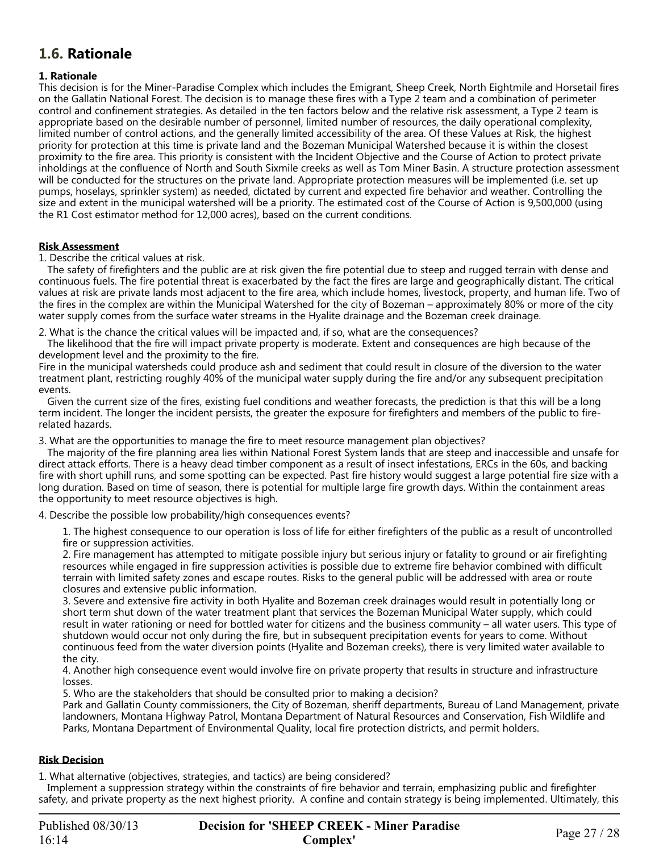## <span id="page-26-0"></span>**1.6. Rationale**

#### **1. Rationale**

This decision is for the Miner-Paradise Complex which includes the Emigrant, Sheep Creek, North Eightmile and Horsetail fires on the Gallatin National Forest. The decision is to manage these fires with a Type 2 team and a combination of perimeter control and confinement strategies. As detailed in the ten factors below and the relative risk assessment, a Type 2 team is appropriate based on the desirable number of personnel, limited number of resources, the daily operational complexity, limited number of control actions, and the generally limited accessibility of the area. Of these Values at Risk, the highest priority for protection at this time is private land and the Bozeman Municipal Watershed because it is within the closest proximity to the fire area. This priority is consistent with the Incident Objective and the Course of Action to protect private inholdings at the confluence of North and South Sixmile creeks as well as Tom Miner Basin. A structure protection assessment will be conducted for the structures on the private land. Appropriate protection measures will be implemented (i.e. set up pumps, hoselays, sprinkler system) as needed, dictated by current and expected fire behavior and weather. Controlling the size and extent in the municipal watershed will be a priority. The estimated cost of the Course of Action is 9,500,000 (using the R1 Cost estimator method for 12,000 acres), based on the current conditions.

#### **Risk Assessment**

1. Describe the critical values at risk.

 The safety of firefighters and the public are at risk given the fire potential due to steep and rugged terrain with dense and continuous fuels. The fire potential threat is exacerbated by the fact the fires are large and geographically distant. The critical values at risk are private lands most adjacent to the fire area, which include homes, livestock, property, and human life. Two of the fires in the complex are within the Municipal Watershed for the city of Bozeman – approximately 80% or more of the city water supply comes from the surface water streams in the Hyalite drainage and the Bozeman creek drainage.

2. What is the chance the critical values will be impacted and, if so, what are the consequences?

 The likelihood that the fire will impact private property is moderate. Extent and consequences are high because of the development level and the proximity to the fire.

Fire in the municipal watersheds could produce ash and sediment that could result in closure of the diversion to the water treatment plant, restricting roughly 40% of the municipal water supply during the fire and/or any subsequent precipitation events.

 Given the current size of the fires, existing fuel conditions and weather forecasts, the prediction is that this will be a long term incident. The longer the incident persists, the greater the exposure for firefighters and members of the public to firerelated hazards.

3. What are the opportunities to manage the fire to meet resource management plan objectives?

 The majority of the fire planning area lies within National Forest System lands that are steep and inaccessible and unsafe for direct attack efforts. There is a heavy dead timber component as a result of insect infestations, ERCs in the 60s, and backing fire with short uphill runs, and some spotting can be expected. Past fire history would suggest a large potential fire size with a long duration. Based on time of season, there is potential for multiple large fire growth days. Within the containment areas the opportunity to meet resource objectives is high.

4. Describe the possible low probability/high consequences events?

1. The highest consequence to our operation is loss of life for either firefighters of the public as a result of uncontrolled fire or suppression activities.

2. Fire management has attempted to mitigate possible injury but serious injury or fatality to ground or air firefighting resources while engaged in fire suppression activities is possible due to extreme fire behavior combined with difficult terrain with limited safety zones and escape routes. Risks to the general public will be addressed with area or route closures and extensive public information.

3. Severe and extensive fire activity in both Hyalite and Bozeman creek drainages would result in potentially long or short term shut down of the water treatment plant that services the Bozeman Municipal Water supply, which could result in water rationing or need for bottled water for citizens and the business community – all water users. This type of shutdown would occur not only during the fire, but in subsequent precipitation events for years to come. Without continuous feed from the water diversion points (Hyalite and Bozeman creeks), there is very limited water available to the city.

4. Another high consequence event would involve fire on private property that results in structure and infrastructure losses.

5. Who are the stakeholders that should be consulted prior to making a decision?

Park and Gallatin County commissioners, the City of Bozeman, sheriff departments, Bureau of Land Management, private landowners, Montana Highway Patrol, Montana Department of Natural Resources and Conservation, Fish Wildlife and Parks, Montana Department of Environmental Quality, local fire protection districts, and permit holders.

#### **Risk Decision**

1. What alternative (objectives, strategies, and tactics) are being considered?

 Implement a suppression strategy within the constraints of fire behavior and terrain, emphasizing public and firefighter safety, and private property as the next highest priority. A confine and contain strategy is being implemented. Ultimately, this